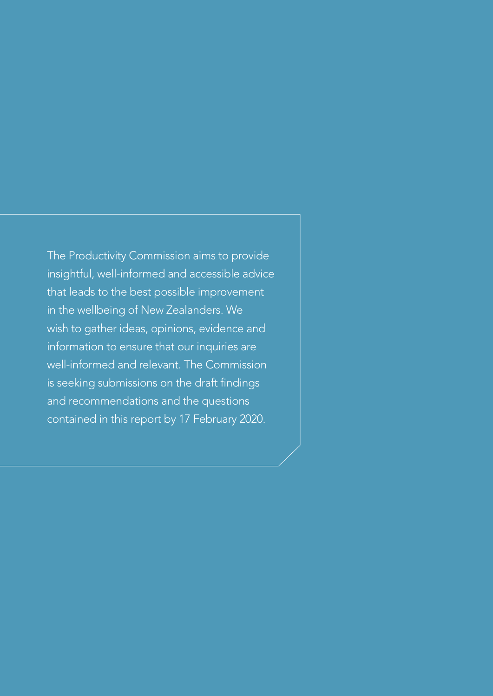The Productivity Commission aims to provide insightful, well-informed and accessible advice that leads to the best possible improvement in the wellbeing of New Zealanders. We wish to gather ideas, opinions, evidence and information to ensure that our inquiries are well-informed and relevant. The Commission is seeking submissions on the draft findings and recommendations and the questions contained in this report by 17 February 2020.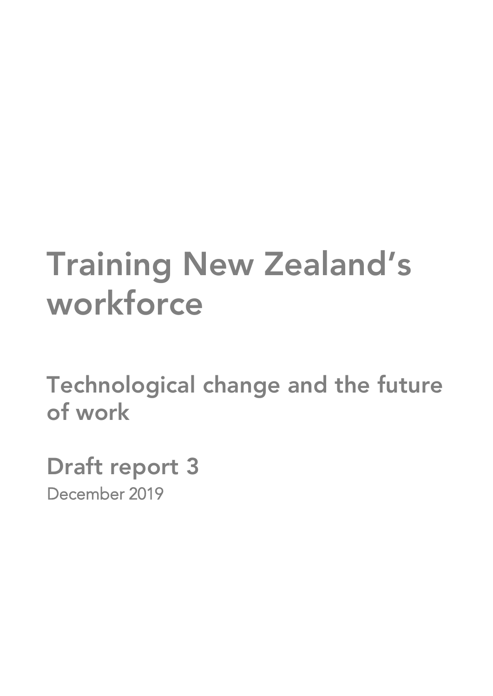# **Training New Zealand's workforce**

**Technological change and the future of work**

**Draft report 3** December 2019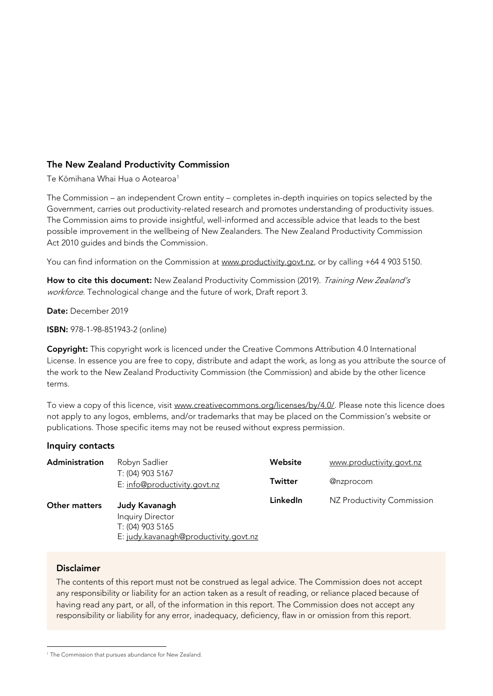#### **The New Zealand Productivity Commission**

Te Kōmihana Whai Hua o Aotearoa<sup>1</sup>

The Commission – an independent Crown entity – completes in-depth inquiries on topics selected by the Government, carries out productivity-related research and promotes understanding of productivity issues. The Commission aims to provide insightful, well-informed and accessible advice that leads to the best possible improvement in the wellbeing of New Zealanders. The New Zealand Productivity Commission Act 2010 guides and binds the Commission.

You can find information on the Commission at [www.productivity.govt.nz,](http://www.productivity.govt.nz/) or by calling +64 4 903 5150.

How to cite this document: New Zealand Productivity Commission (2019). Training New Zealand's workforce. Technological change and the future of work, Draft report 3.

**Date:** December 2019

**ISBN:** 978-1-98-851943-2 (online)

**Copyright:** This copyright work is licenced under the Creative Commons Attribution 4.0 International License. In essence you are free to copy, distribute and adapt the work, as long as you attribute the source of the work to the New Zealand Productivity Commission (the Commission) and abide by the other licence terms.

To view a copy of this licence, visit [www.creativecommons.org/licenses/by/4.0/.](http://www.creativecommons.org/licenses/by/4.0/) Please note this licence does not apply to any logos, emblems, and/or trademarks that may be placed on the Commission's website or publications. Those specific items may not be reused without express permission.

#### **Inquiry contacts**

| Administration       | Robyn Sadlier                                                                                         | Website        | www.productivity.govt.nz   |
|----------------------|-------------------------------------------------------------------------------------------------------|----------------|----------------------------|
|                      | T: (04) 903 5167<br>E: info@productivity.govt.nz                                                      | <b>Twitter</b> | @nzprocom                  |
| <b>Other matters</b> | Judy Kavanagh<br><b>Inquiry Director</b><br>T: (04) 903 5165<br>E: judy.kavanagh@productivity.govt.nz | LinkedIn       | NZ Productivity Commission |

#### **Disclaimer**

The contents of this report must not be construed as legal advice. The Commission does not accept any responsibility or liability for an action taken as a result of reading, or reliance placed because of having read any part, or all, of the information in this report. The Commission does not accept any responsibility or liability for any error, inadequacy, deficiency, flaw in or omission from this report.

<sup>&</sup>lt;sup>1</sup> The Commission that pursues abundance for New Zealand.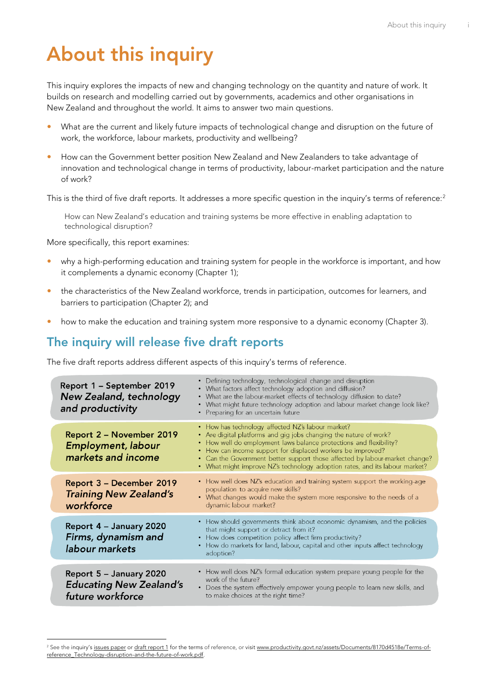## <span id="page-4-0"></span>**About this inquiry**

This inquiry explores the impacts of new and changing technology on the quantity and nature of work. It builds on research and modelling carried out by governments, academics and other organisations in New Zealand and throughout the world. It aims to answer two main questions.

- What are the current and likely future impacts of technological change and disruption on the future of work, the workforce, labour markets, productivity and wellbeing?
- How can the Government better position New Zealand and New Zealanders to take advantage of innovation and technological change in terms of productivity, labour-market participation and the nature of work?

This is the third of five draft reports. It addresses a more specific question in the inquiry's terms of reference:<sup>2</sup>

How can New Zealand's education and training systems be more effective in enabling adaptation to technological disruption?

More specifically, this report examines:

- why a high-performing education and training system for people in the workforce is important, and how it complements a dynamic economy (Chapter 1);
- the characteristics of the New Zealand workforce, trends in participation, outcomes for learners, and barriers to participation (Chapter 2); and
- how to make the education and training system more responsive to a dynamic economy (Chapter 3).

## <span id="page-4-1"></span>**The inquiry will release five draft reports**

The five draft reports address different aspects of this inquiry's terms of reference.

| Report 1 - September 2019<br><b>New Zealand, technology</b><br>and productivity | • Defining technology, technological change and disruption<br>• What factors affect technology adoption and diffusion?<br>• What are the labour-market effects of technology diffusion to date?<br>• What might future technology adoption and labour market change look like?<br>• Preparing for an uncertain future                                                                                                     |
|---------------------------------------------------------------------------------|---------------------------------------------------------------------------------------------------------------------------------------------------------------------------------------------------------------------------------------------------------------------------------------------------------------------------------------------------------------------------------------------------------------------------|
| Report 2 - November 2019<br><b>Employment, labour</b><br>markets and income     | • How has technology affected NZ's labour market?<br>• Are digital platforms and gig jobs changing the nature of work?<br>• How well do employment laws balance protections and flexibility?<br>• How can income support for displaced workers be improved?<br>• Can the Government better support those affected by labour-market change?<br>• What might improve NZ's technology adoption rates, and its labour market? |
| Report 3 - December 2019<br><b>Training New Zealand's</b><br>workforce          | • How well does NZ's education and training system support the working-age<br>population to acquire new skills?<br>• What changes would make the system more responsive to the needs of a<br>dynamic labour market?                                                                                                                                                                                                       |
| Report 4 - January 2020<br>Firms, dynamism and<br>labour markets                | • How should governments think about economic dynamism, and the policies<br>that might support or detract from it?<br>• How does competition policy affect firm productivity?<br>• How do markets for land, labour, capital and other inputs affect technology<br>adoption?                                                                                                                                               |
| Report 5 - January 2020<br><b>Educating New Zealand's</b><br>future workforce   | • How well does NZ's formal education system prepare young people for the<br>work of the future?<br>• Does the system effectively empower young people to learn new skills, and<br>to make choices at the right time?                                                                                                                                                                                                     |

<sup>&</sup>lt;sup>2</sup> See the inquiry's [issues paper](https://www.productivity.govt.nz/assets/Documents/fdc3349d83/Technological-change-and-the-future-of-work_Issues-paper.pdf) o[r draft report 1](https://www.productivity.govt.nz/assets/Documents/16fbd1875d/Draft-report-1_NZ-technology-and-productivity.pdf) for the terms of reference, or visi[t www.productivity.govt.nz/assets/Documents/8170d4518e/Terms-of](https://www.productivity.govt.nz/assets/Documents/8170d4518e/Terms-of-reference_Technology-disruption-and-the-future-of-work.pdf)[reference\\_Technology-disruption-and-the-future-of-work.pdf.](https://www.productivity.govt.nz/assets/Documents/8170d4518e/Terms-of-reference_Technology-disruption-and-the-future-of-work.pdf)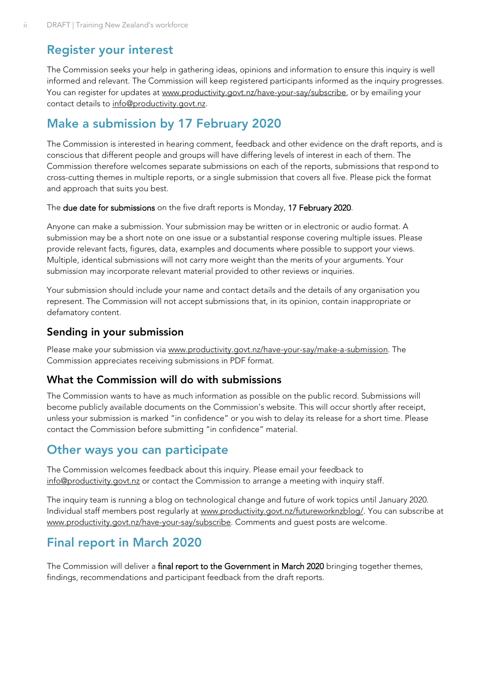## <span id="page-5-0"></span>**Register your interest**

The Commission seeks your help in gathering ideas, opinions and information to ensure this inquiry is well informed and relevant. The Commission will keep registered participants informed as the inquiry progresses. You can register for updates at [www.productivity.govt.nz/have-your-say/subscribe,](http://www.productivity.govt.nz/have-your-say/subscribe) or by emailing your contact details to [info@productivity.govt.nz.](mailto:info@productivity.govt.nz)

## <span id="page-5-1"></span>**Make a submission by 17 February 2020**

The Commission is interested in hearing comment, feedback and other evidence on the draft reports, and is conscious that different people and groups will have differing levels of interest in each of them. The Commission therefore welcomes separate submissions on each of the reports, submissions that respond to cross-cutting themes in multiple reports, or a single submission that covers all five. Please pick the format and approach that suits you best.

The due date for submissions on the five draft reports is Monday, 17 February 2020.

Anyone can make a submission. Your submission may be written or in electronic or audio format. A submission may be a short note on one issue or a substantial response covering multiple issues. Please provide relevant facts, figures, data, examples and documents where possible to support your views. Multiple, identical submissions will not carry more weight than the merits of your arguments. Your submission may incorporate relevant material provided to other reviews or inquiries.

Your submission should include your name and contact details and the details of any organisation you represent. The Commission will not accept submissions that, in its opinion, contain inappropriate or defamatory content.

## **Sending in your submission**

Please make your submission via [www.productivity.govt.nz/have-your-say/make-a-submission.](http://www.productivity.govt.nz/have-your-say/make-a-submission) The Commission appreciates receiving submissions in PDF format.

#### **What the Commission will do with submissions**

The Commission wants to have as much information as possible on the public record. Submissions will become publicly available documents on the Commission's website. This will occur shortly after receipt, unless your submission is marked "in confidence" or you wish to delay its release for a short time. Please contact the Commission before submitting "in confidence" material.

## <span id="page-5-2"></span>**Other ways you can participate**

The Commission welcomes feedback about this inquiry. Please email your feedback to [info@productivity.govt.nz](mailto:info@productivity.govt.nz) or contact the Commission to arrange a meeting with inquiry staff.

The inquiry team is running a blog on technological change and future of work topics until January 2020. Individual staff members post regularly at [www.productivity.govt.nz/futureworknzblog/.](http://www.productivity.govt.nz/futureworknzblog/) You can subscribe at [www.productivity.govt.nz/have-your-say/subscribe.](http://www.productivity.govt.nz/have-your-say/subscribe) Comments and guest posts are welcome.

## <span id="page-5-3"></span>**Final report in March 2020**

The Commission will deliver a final report to the Government in March 2020 bringing together themes, findings, recommendations and participant feedback from the draft reports.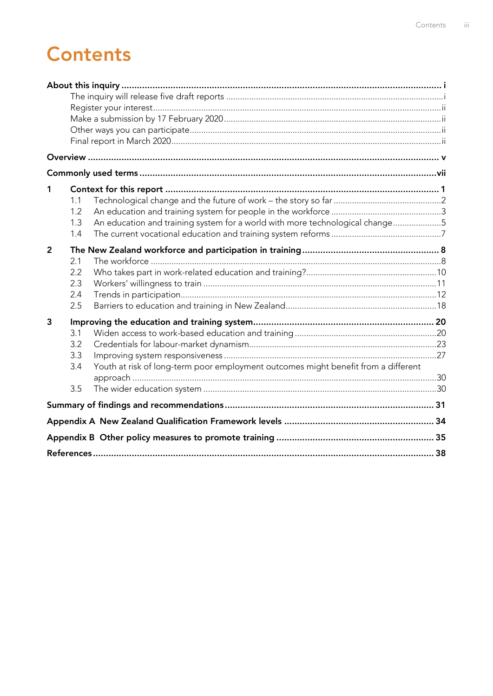## **Contents**

| 1              | 1.1<br>1.2<br>1.3<br>1.4        | An education and training system for a world with more technological change5       |  |
|----------------|---------------------------------|------------------------------------------------------------------------------------|--|
| $\overline{2}$ | 2.1<br>2.2<br>2.3<br>2.4<br>2.5 |                                                                                    |  |
| 3              | 3.1<br>3.2<br>3.3<br>3.4<br>3.5 | Youth at risk of long-term poor employment outcomes might benefit from a different |  |
|                |                                 |                                                                                    |  |
|                |                                 |                                                                                    |  |
|                |                                 |                                                                                    |  |
|                |                                 |                                                                                    |  |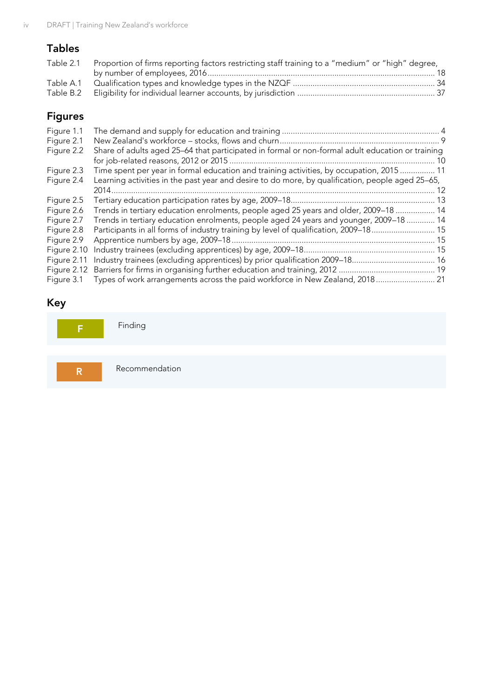## **Tables**

| Table 2.1 Proportion of firms reporting factors restricting staff training to a "medium" or "high" degree, |  |
|------------------------------------------------------------------------------------------------------------|--|
|                                                                                                            |  |
|                                                                                                            |  |
|                                                                                                            |  |

## **Figures**

| Figure 1.1<br>Figure 2.1 |                                                                                                  |      |
|--------------------------|--------------------------------------------------------------------------------------------------|------|
| Figure 2.2               | Share of adults aged 25–64 that participated in formal or non-formal adult education or training | . 10 |
| Figure 2.3               | Time spent per year in formal education and training activities, by occupation, 2015 11          |      |
| Figure 2.4               | Learning activities in the past year and desire to do more, by qualification, people aged 25-65, |      |
|                          | 2014                                                                                             | 12   |
| Figure 2.5               |                                                                                                  |      |
| Figure 2.6               | Trends in tertiary education enrolments, people aged 25 years and older, 2009-18  14             |      |
| Figure 2.7               | Trends in tertiary education enrolments, people aged 24 years and younger, 2009-18  14           |      |
| Figure 2.8               | Participants in all forms of industry training by level of qualification, 2009–18 15             |      |
| Figure 2.9               |                                                                                                  |      |
| Figure 2.10              |                                                                                                  |      |
| Figure 2.11              | Industry trainees (excluding apprentices) by prior qualification 2009–18 16                      |      |
| Figure 2.12              |                                                                                                  |      |
| Figure 3.1               | Types of work arrangements across the paid workforce in New Zealand, 2018 21                     |      |

## **Key**

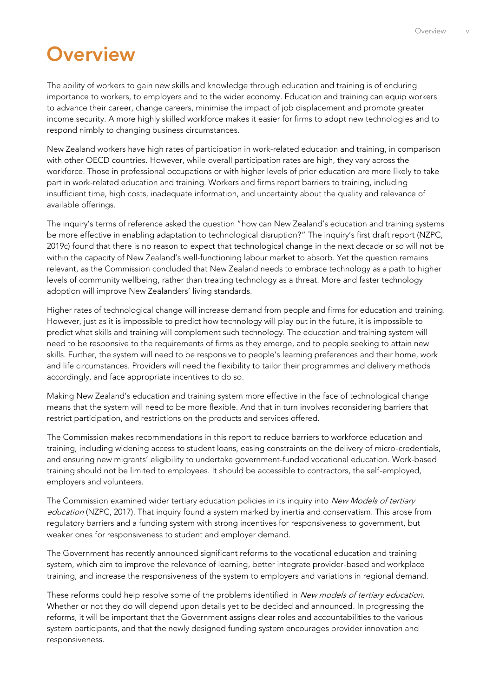## <span id="page-8-0"></span>**Overview**

The ability of workers to gain new skills and knowledge through education and training is of enduring importance to workers, to employers and to the wider economy. Education and training can equip workers to advance their career, change careers, minimise the impact of job displacement and promote greater income security. A more highly skilled workforce makes it easier for firms to adopt new technologies and to respond nimbly to changing business circumstances.

New Zealand workers have high rates of participation in work-related education and training, in comparison with other OECD countries. However, while overall participation rates are high, they vary across the workforce. Those in professional occupations or with higher levels of prior education are more likely to take part in work-related education and training. Workers and firms report barriers to training, including insufficient time, high costs, inadequate information, and uncertainty about the quality and relevance of available offerings.

The inquiry's terms of reference asked the question "how can New Zealand's education and training systems be more effective in enabling adaptation to technological disruption?" The inquiry's first draft report (NZPC, 2019c) found that there is no reason to expect that technological change in the next decade or so will not be within the capacity of New Zealand's well-functioning labour market to absorb. Yet the question remains relevant, as the Commission concluded that New Zealand needs to embrace technology as a path to higher levels of community wellbeing, rather than treating technology as a threat. More and faster technology adoption will improve New Zealanders' living standards.

Higher rates of technological change will increase demand from people and firms for education and training. However, just as it is impossible to predict how technology will play out in the future, it is impossible to predict what skills and training will complement such technology. The education and training system will need to be responsive to the requirements of firms as they emerge, and to people seeking to attain new skills. Further, the system will need to be responsive to people's learning preferences and their home, work and life circumstances. Providers will need the flexibility to tailor their programmes and delivery methods accordingly, and face appropriate incentives to do so.

Making New Zealand's education and training system more effective in the face of technological change means that the system will need to be more flexible. And that in turn involves reconsidering barriers that restrict participation, and restrictions on the products and services offered.

The Commission makes recommendations in this report to reduce barriers to workforce education and training, including widening access to student loans, easing constraints on the delivery of micro-credentials, and ensuring new migrants' eligibility to undertake government-funded vocational education. Work-based training should not be limited to employees. It should be accessible to contractors, the self-employed, employers and volunteers.

The Commission examined wider tertiary education policies in its inquiry into New Models of tertiary education (NZPC, 2017). That inquiry found a system marked by inertia and conservatism. This arose from regulatory barriers and a funding system with strong incentives for responsiveness to government, but weaker ones for responsiveness to student and employer demand.

The Government has recently announced significant reforms to the vocational education and training system, which aim to improve the relevance of learning, better integrate provider-based and workplace training, and increase the responsiveness of the system to employers and variations in regional demand.

These reforms could help resolve some of the problems identified in New models of tertiary education. Whether or not they do will depend upon details yet to be decided and announced. In progressing the reforms, it will be important that the Government assigns clear roles and accountabilities to the various system participants, and that the newly designed funding system encourages provider innovation and responsiveness.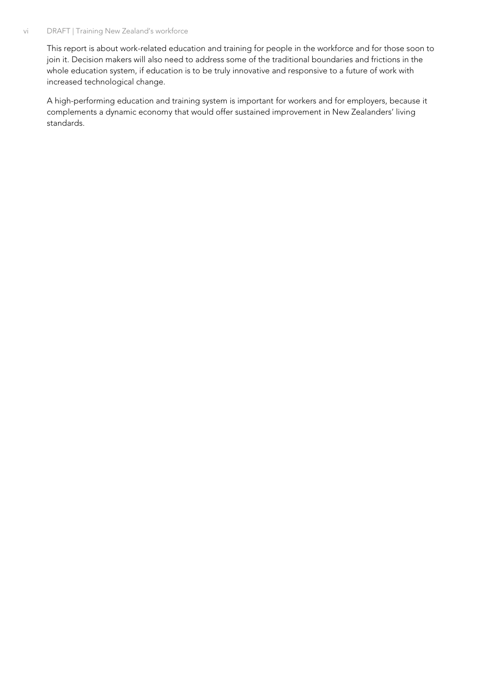#### vi DRAFT | Training New Zealand's workforce

This report is about work-related education and training for people in the workforce and for those soon to join it. Decision makers will also need to address some of the traditional boundaries and frictions in the whole education system, if education is to be truly innovative and responsive to a future of work with increased technological change.

A high-performing education and training system is important for workers and for employers, because it complements a dynamic economy that would offer sustained improvement in New Zealanders' living standards.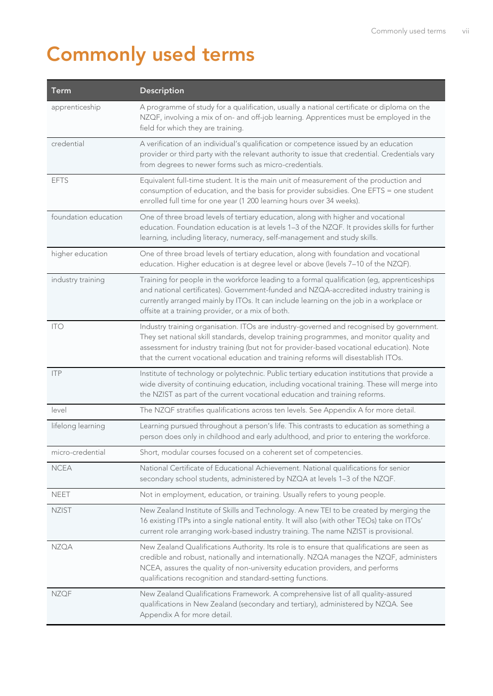## <span id="page-10-0"></span>**Commonly used terms**

| Term                 | <b>Description</b>                                                                                                                                                                                                                                                                                                                                                    |
|----------------------|-----------------------------------------------------------------------------------------------------------------------------------------------------------------------------------------------------------------------------------------------------------------------------------------------------------------------------------------------------------------------|
| apprenticeship       | A programme of study for a qualification, usually a national certificate or diploma on the<br>NZQF, involving a mix of on- and off-job learning. Apprentices must be employed in the<br>field for which they are training.                                                                                                                                            |
| credential           | A verification of an individual's qualification or competence issued by an education<br>provider or third party with the relevant authority to issue that credential. Credentials vary<br>from degrees to newer forms such as micro-credentials.                                                                                                                      |
| <b>EFTS</b>          | Equivalent full-time student. It is the main unit of measurement of the production and<br>consumption of education, and the basis for provider subsidies. One EFTS = one student<br>enrolled full time for one year (1 200 learning hours over 34 weeks).                                                                                                             |
| foundation education | One of three broad levels of tertiary education, along with higher and vocational<br>education. Foundation education is at levels 1-3 of the NZQF. It provides skills for further<br>learning, including literacy, numeracy, self-management and study skills.                                                                                                        |
| higher education     | One of three broad levels of tertiary education, along with foundation and vocational<br>education. Higher education is at degree level or above (levels 7-10 of the NZQF).                                                                                                                                                                                           |
| industry training    | Training for people in the workforce leading to a formal qualification (eg, apprenticeships<br>and national certificates). Government-funded and NZQA-accredited industry training is<br>currently arranged mainly by ITOs. It can include learning on the job in a workplace or<br>offsite at a training provider, or a mix of both.                                 |
| <b>ITO</b>           | Industry training organisation. ITOs are industry-governed and recognised by government.<br>They set national skill standards, develop training programmes, and monitor quality and<br>assessment for industry training (but not for provider-based vocational education). Note<br>that the current vocational education and training reforms will disestablish ITOs. |
| ITP                  | Institute of technology or polytechnic. Public tertiary education institutions that provide a<br>wide diversity of continuing education, including vocational training. These will merge into<br>the NZIST as part of the current vocational education and training reforms.                                                                                          |
| level                | The NZQF stratifies qualifications across ten levels. See Appendix A for more detail.                                                                                                                                                                                                                                                                                 |
| lifelong learning    | Learning pursued throughout a person's life. This contrasts to education as something a<br>person does only in childhood and early adulthood, and prior to entering the workforce.                                                                                                                                                                                    |
| micro-credential     | Short, modular courses focused on a coherent set of competencies.                                                                                                                                                                                                                                                                                                     |
| <b>NCEA</b>          | National Certificate of Educational Achievement. National qualifications for senior<br>secondary school students, administered by NZQA at levels 1-3 of the NZQF.                                                                                                                                                                                                     |
| <b>NEET</b>          | Not in employment, education, or training. Usually refers to young people.                                                                                                                                                                                                                                                                                            |
| <b>NZIST</b>         | New Zealand Institute of Skills and Technology. A new TEI to be created by merging the<br>16 existing ITPs into a single national entity. It will also (with other TEOs) take on ITOs'<br>current role arranging work-based industry training. The name NZIST is provisional.                                                                                         |
| <b>NZQA</b>          | New Zealand Qualifications Authority. Its role is to ensure that qualifications are seen as<br>credible and robust, nationally and internationally. NZQA manages the NZQF, administers<br>NCEA, assures the quality of non-university education providers, and performs<br>qualifications recognition and standard-setting functions.                                 |
| <b>NZQF</b>          | New Zealand Qualifications Framework. A comprehensive list of all quality-assured<br>qualifications in New Zealand (secondary and tertiary), administered by NZQA. See<br>Appendix A for more detail.                                                                                                                                                                 |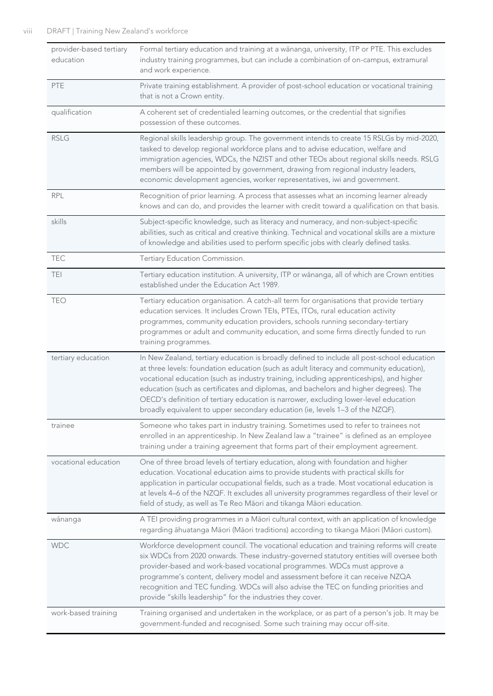| provider-based tertiary<br>education | Formal tertiary education and training at a wānanga, university, ITP or PTE. This excludes<br>industry training programmes, but can include a combination of on-campus, extramural<br>and work experience.                                                                                                                                                                                                                                                                                                                                        |
|--------------------------------------|---------------------------------------------------------------------------------------------------------------------------------------------------------------------------------------------------------------------------------------------------------------------------------------------------------------------------------------------------------------------------------------------------------------------------------------------------------------------------------------------------------------------------------------------------|
| PTE                                  | Private training establishment. A provider of post-school education or vocational training<br>that is not a Crown entity.                                                                                                                                                                                                                                                                                                                                                                                                                         |
| qualification                        | A coherent set of credentialed learning outcomes, or the credential that signifies<br>possession of these outcomes.                                                                                                                                                                                                                                                                                                                                                                                                                               |
| <b>RSLG</b>                          | Regional skills leadership group. The government intends to create 15 RSLGs by mid-2020,<br>tasked to develop regional workforce plans and to advise education, welfare and<br>immigration agencies, WDCs, the NZIST and other TEOs about regional skills needs. RSLG<br>members will be appointed by government, drawing from regional industry leaders,<br>economic development agencies, worker representatives, iwi and government.                                                                                                           |
| <b>RPL</b>                           | Recognition of prior learning. A process that assesses what an incoming learner already<br>knows and can do, and provides the learner with credit toward a qualification on that basis.                                                                                                                                                                                                                                                                                                                                                           |
| skills                               | Subject-specific knowledge, such as literacy and numeracy, and non-subject-specific<br>abilities, such as critical and creative thinking. Technical and vocational skills are a mixture<br>of knowledge and abilities used to perform specific jobs with clearly defined tasks.                                                                                                                                                                                                                                                                   |
| <b>TEC</b>                           | Tertiary Education Commission.                                                                                                                                                                                                                                                                                                                                                                                                                                                                                                                    |
| TEI.                                 | Tertiary education institution. A university, ITP or wānanga, all of which are Crown entities<br>established under the Education Act 1989.                                                                                                                                                                                                                                                                                                                                                                                                        |
| <b>TEO</b>                           | Tertiary education organisation. A catch-all term for organisations that provide tertiary<br>education services. It includes Crown TEIs, PTEs, ITOs, rural education activity<br>programmes, community education providers, schools running secondary-tertiary<br>programmes or adult and community education, and some firms directly funded to run<br>training programmes.                                                                                                                                                                      |
| tertiary education                   | In New Zealand, tertiary education is broadly defined to include all post-school education<br>at three levels: foundation education (such as adult literacy and community education),<br>vocational education (such as industry training, including apprenticeships), and higher<br>education (such as certificates and diplomas, and bachelors and higher degrees). The<br>OECD's definition of tertiary education is narrower, excluding lower-level education<br>broadly equivalent to upper secondary education (ie, levels 1-3 of the NZQF). |
| trainee                              | Someone who takes part in industry training. Sometimes used to refer to trainees not<br>enrolled in an apprenticeship. In New Zealand law a "trainee" is defined as an employee<br>training under a training agreement that forms part of their employment agreement.                                                                                                                                                                                                                                                                             |
| vocational education                 | One of three broad levels of tertiary education, along with foundation and higher<br>education. Vocational education aims to provide students with practical skills for<br>application in particular occupational fields, such as a trade. Most vocational education is<br>at levels 4-6 of the NZQF. It excludes all university programmes regardless of their level or<br>field of study, as well as Te Reo Māori and tikanga Māori education.                                                                                                  |
| wānanga                              | A TEI providing programmes in a Māori cultural context, with an application of knowledge<br>regarding āhuatanga Māori (Māori traditions) according to tikanga Māori (Māori custom).                                                                                                                                                                                                                                                                                                                                                               |
| <b>WDC</b>                           | Workforce development council. The vocational education and training reforms will create<br>six WDCs from 2020 onwards. These industry-governed statutory entities will oversee both<br>provider-based and work-based vocational programmes. WDCs must approve a<br>programme's content, delivery model and assessment before it can receive NZQA<br>recognition and TEC funding. WDCs will also advise the TEC on funding priorities and<br>provide "skills leadership" for the industries they cover.                                           |
| work-based training                  | Training organised and undertaken in the workplace, or as part of a person's job. It may be<br>government-funded and recognised. Some such training may occur off-site.                                                                                                                                                                                                                                                                                                                                                                           |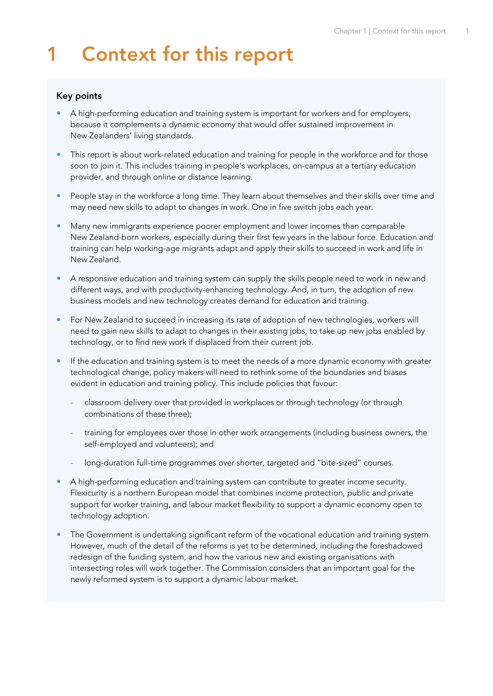## <span id="page-12-0"></span>**1 Context for this report**

#### **Key points**

- A high-performing education and training system is important for workers and for employers, because it complements a dynamic economy that would offer sustained improvement in New Zealanders' living standards.
- This report is about work-related education and training for people in the workforce and for those soon to join it. This includes training in people's workplaces, on-campus at a tertiary education provider, and through online or distance learning.
- People stay in the workforce a long time. They learn about themselves and their skills over time and may need new skills to adapt to changes in work. One in five switch jobs each year.
- Many new immigrants experience poorer employment and lower incomes than comparable New Zealand-born workers, especially during their first few years in the labour force. Education and training can help working-age migrants adapt and apply their skills to succeed in work and life in New Zealand.
- A responsive education and training system can supply the skills people need to work in new and different ways, and with productivity-enhancing technology. And, in turn, the adoption of new business models and new technology creates demand for education and training.
- For New Zealand to succeed in increasing its rate of adoption of new technologies, workers will need to gain new skills to adapt to changes in their existing jobs, to take up new jobs enabled by technology, or to find new work if displaced from their current job.
- If the education and training system is to meet the needs of a more dynamic economy with greater technological change, policy makers will need to rethink some of the boundaries and biases evident in education and training policy. This include policies that favour:
	- classroom delivery over that provided in workplaces or through technology (or through combinations of these three);
	- training for employees over those in other work arrangements (including business owners, the self-employed and volunteers); and
	- long-duration full-time programmes over shorter, targeted and "bite-sized" courses.
- A high-performing education and training system can contribute to greater income security. Flexicurity is a northern European model that combines income protection, public and private support for worker training, and labour market flexibility to support a dynamic economy open to technology adoption.
- The Government is undertaking significant reform of the vocational education and training system. However, much of the detail of the reforms is yet to be determined, including the foreshadowed redesign of the funding system, and how the various new and existing organisations with intersecting roles will work together. The Commission considers that an important goal for the newly reformed system is to support a dynamic labour market.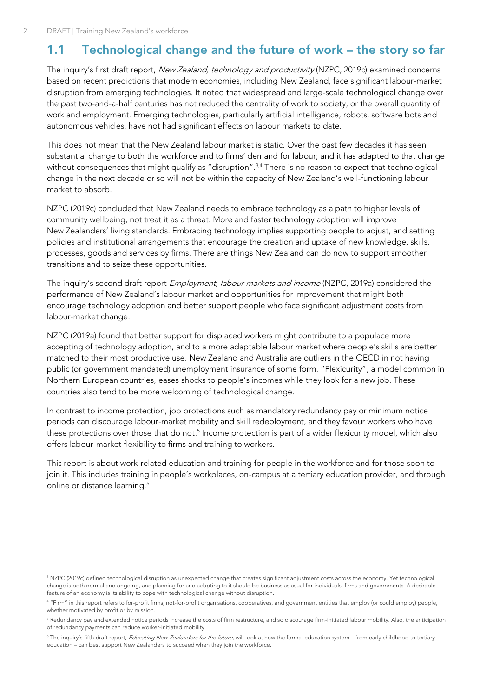## <span id="page-13-0"></span>**1.1 Technological change and the future of work – the story so far**

The inquiry's first draft report, New Zealand, technology and productivity (NZPC, 2019c) examined concerns based on recent predictions that modern economies, including New Zealand, face significant labour-market disruption from emerging technologies. It noted that widespread and large-scale technological change over the past two-and-a-half centuries has not reduced the centrality of work to society, or the overall quantity of work and employment. Emerging technologies, particularly artificial intelligence, robots, software bots and autonomous vehicles, have not had significant effects on labour markets to date.

This does not mean that the New Zealand labour market is static. Over the past few decades it has seen substantial change to both the workforce and to firms' demand for labour; and it has adapted to that change without consequences that might qualify as "disruption".<sup>3,4</sup> There is no reason to expect that technological change in the next decade or so will not be within the capacity of New Zealand's well-functioning labour market to absorb.

NZPC (2019c) concluded that New Zealand needs to embrace technology as a path to higher levels of community wellbeing, not treat it as a threat. More and faster technology adoption will improve New Zealanders' living standards. Embracing technology implies supporting people to adjust, and setting policies and institutional arrangements that encourage the creation and uptake of new knowledge, skills, processes, goods and services by firms. There are things New Zealand can do now to support smoother transitions and to seize these opportunities.

The inquiry's second draft report *Employment, labour markets and income* (NZPC, 2019a) considered the performance of New Zealand's labour market and opportunities for improvement that might both encourage technology adoption and better support people who face significant adjustment costs from labour-market change.

NZPC (2019a) found that better support for displaced workers might contribute to a populace more accepting of technology adoption, and to a more adaptable labour market where people's skills are better matched to their most productive use. New Zealand and Australia are outliers in the OECD in not having public (or government mandated) unemployment insurance of some form. "Flexicurity", a model common in Northern European countries, eases shocks to people's incomes while they look for a new job. These countries also tend to be more welcoming of technological change.

In contrast to income protection, job protections such as mandatory redundancy pay or minimum notice periods can discourage labour-market mobility and skill redeployment, and they favour workers who have these protections over those that do not.<sup>5</sup> Income protection is part of a wider flexicurity model, which also offers labour-market flexibility to firms and training to workers.

This report is about work-related education and training for people in the workforce and for those soon to join it. This includes training in people's workplaces, on-campus at a tertiary education provider, and through online or distance learning.<sup>6</sup>

<sup>&</sup>lt;sup>3</sup> NZPC (2019c) defined technological disruption as unexpected change that creates significant adjustment costs across the economy. Yet technological change is both normal and ongoing, and planning for and adapting to it should be business as usual for individuals, firms and governments. A desirable feature of an economy is its ability to cope with technological change without disruption.

<sup>4</sup> "Firm" in this report refers to for-profit firms, not-for-profit organisations, cooperatives, and government entities that employ (or could employ) people, whether motivated by profit or by mission.

<sup>5</sup> Redundancy pay and extended notice periods increase the costs of firm restructure, and so discourage firm-initiated labour mobility. Also, the anticipation of redundancy payments can reduce worker-initiated mobility.

<sup>&</sup>lt;sup>6</sup> The inquiry's fifth draft report, Educating New Zealanders for the future, will look at how the formal education system – from early childhood to tertiary education – can best support New Zealanders to succeed when they join the workforce.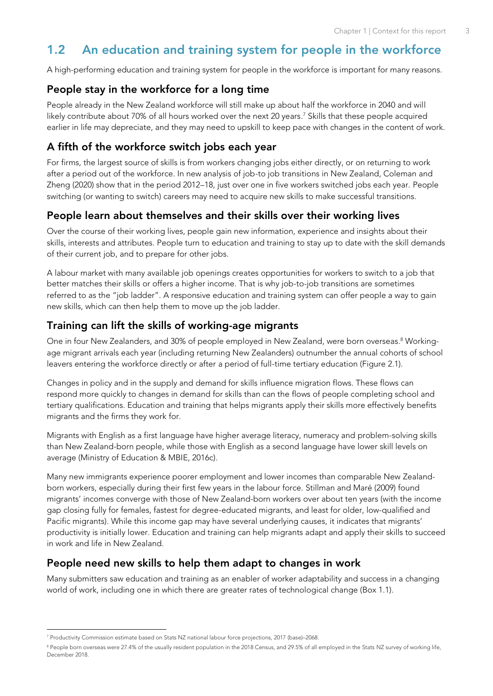## <span id="page-14-0"></span>**1.2 An education and training system for people in the workforce**

A high-performing education and training system for people in the workforce is important for many reasons.

#### **People stay in the workforce for a long time**

People already in the New Zealand workforce will still make up about half the workforce in 2040 and will likely contribute about 70% of all hours worked over the next 20 years. <sup>7</sup> Skills that these people acquired earlier in life may depreciate, and they may need to upskill to keep pace with changes in the content of work.

## **A fifth of the workforce switch jobs each year**

For firms, the largest source of skills is from workers changing jobs either directly, or on returning to work after a period out of the workforce. In new analysis of job-to job transitions in New Zealand, Coleman and Zheng (2020) show that in the period 2012–18, just over one in five workers switched jobs each year. People switching (or wanting to switch) careers may need to acquire new skills to make successful transitions.

## **People learn about themselves and their skills over their working lives**

Over the course of their working lives, people gain new information, experience and insights about their skills, interests and attributes. People turn to education and training to stay up to date with the skill demands of their current job, and to prepare for other jobs.

A labour market with many available job openings creates opportunities for workers to switch to a job that better matches their skills or offers a higher income. That is why job-to-job transitions are sometimes referred to as the "job ladder". A responsive education and training system can offer people a way to gain new skills, which can then help them to move up the job ladder.

## **Training can lift the skills of working-age migrants**

One in four New Zealanders, and 30% of people employed in New Zealand, were born overseas. <sup>8</sup> Workingage migrant arrivals each year (including returning New Zealanders) outnumber the annual cohorts of school leavers entering the workforce directly or after a period of full-time tertiary education [\(Figure 2.1\)](#page-20-0).

Changes in policy and in the supply and demand for skills influence migration flows. These flows can respond more quickly to changes in demand for skills than can the flows of people completing school and tertiary qualifications. Education and training that helps migrants apply their skills more effectively benefits migrants and the firms they work for.

Migrants with English as a first language have higher average literacy, numeracy and problem-solving skills than New Zealand-born people, while those with English as a second language have lower skill levels on average (Ministry of Education & MBIE, 2016c).

Many new immigrants experience poorer employment and lower incomes than comparable New Zealandborn workers, especially during their first few years in the labour force. Stillman and Maré (2009) found migrants' incomes converge with those of New Zealand-born workers over about ten years (with the income gap closing fully for females, fastest for degree-educated migrants, and least for older, low-qualified and Pacific migrants). While this income gap may have several underlying causes, it indicates that migrants' productivity is initially lower. Education and training can help migrants adapt and apply their skills to succeed in work and life in New Zealand.

#### **People need new skills to help them adapt to changes in work**

Many submitters saw education and training as an enabler of worker adaptability and success in a changing world of work, including one in which there are greater rates of technological change [\(Box 1.1\).](#page-15-1)

<sup>7</sup> Productivity Commission estimate based on Stats NZ national labour force projections, 2017 (base)–2068.

<sup>&</sup>lt;sup>8</sup> People born overseas were 27.4% of the usually resident population in the 2018 Census, and 29.5% of all employed in the Stats NZ survey of working life, December 2018.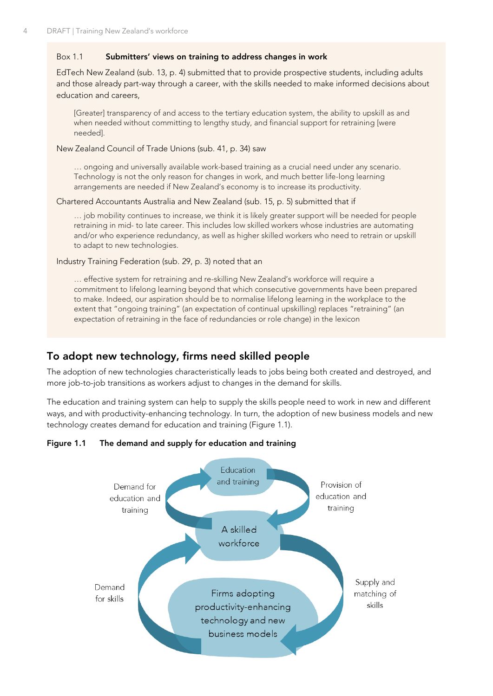#### <span id="page-15-1"></span>Box 1.1 **Submitters' views on training to address changes in work**

EdTech New Zealand (sub. 13, p. 4) submitted that to provide prospective students, including adults and those already part-way through a career, with the skills needed to make informed decisions about education and careers,

[Greater] transparency of and access to the tertiary education system, the ability to upskill as and when needed without committing to lengthy study, and financial support for retraining [were needed].

New Zealand Council of Trade Unions (sub. 41, p. 34) saw

… ongoing and universally available work-based training as a crucial need under any scenario. Technology is not the only reason for changes in work, and much better life-long learning arrangements are needed if New Zealand's economy is to increase its productivity.

#### Chartered Accountants Australia and New Zealand (sub. 15, p. 5) submitted that if

… job mobility continues to increase, we think it is likely greater support will be needed for people retraining in mid- to late career. This includes low skilled workers whose industries are automating and/or who experience redundancy, as well as higher skilled workers who need to retrain or upskill to adapt to new technologies.

#### Industry Training Federation (sub. 29, p. 3) noted that an

… effective system for retraining and re-skilling New Zealand's workforce will require a commitment to lifelong learning beyond that which consecutive governments have been prepared to make. Indeed, our aspiration should be to normalise lifelong learning in the workplace to the extent that "ongoing training" (an expectation of continual upskilling) replaces "retraining" (an expectation of retraining in the face of redundancies or role change) in the lexicon

## **To adopt new technology, firms need skilled people**

The adoption of new technologies characteristically leads to jobs being both created and destroyed, and more job-to-job transitions as workers adjust to changes in the demand for skills.

The education and training system can help to supply the skills people need to work in new and different ways, and with productivity-enhancing technology. In turn, the adoption of new business models and new technology creates demand for education and training [\(Figure 1.1\)](#page-15-0).

<span id="page-15-0"></span>**Figure 1.1 The demand and supply for education and training**

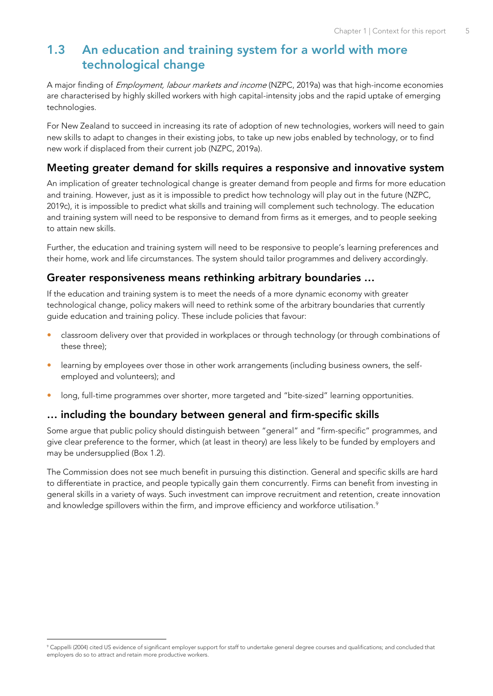## <span id="page-16-0"></span>**1.3 An education and training system for a world with more technological change**

A major finding of *Employment, labour markets and income* (NZPC, 2019a) was that high-income economies are characterised by highly skilled workers with high capital-intensity jobs and the rapid uptake of emerging technologies.

For New Zealand to succeed in increasing its rate of adoption of new technologies, workers will need to gain new skills to adapt to changes in their existing jobs, to take up new jobs enabled by technology, or to find new work if displaced from their current job (NZPC, 2019a).

#### **Meeting greater demand for skills requires a responsive and innovative system**

An implication of greater technological change is greater demand from people and firms for more education and training. However, just as it is impossible to predict how technology will play out in the future (NZPC, 2019c), it is impossible to predict what skills and training will complement such technology. The education and training system will need to be responsive to demand from firms as it emerges, and to people seeking to attain new skills.

Further, the education and training system will need to be responsive to people's learning preferences and their home, work and life circumstances. The system should tailor programmes and delivery accordingly.

#### **Greater responsiveness means rethinking arbitrary boundaries …**

If the education and training system is to meet the needs of a more dynamic economy with greater technological change, policy makers will need to rethink some of the arbitrary boundaries that currently guide education and training policy. These include policies that favour:

- classroom delivery over that provided in workplaces or through technology (or through combinations of these three);
- learning by employees over those in other work arrangements (including business owners, the selfemployed and volunteers); and
- long, full-time programmes over shorter, more targeted and "bite-sized" learning opportunities.

## **… including the boundary between general and firm-specific skills**

Some argue that public policy should distinguish between "general" and "firm-specific" programmes, and give clear preference to the former, which (at least in theory) are less likely to be funded by employers and may be undersupplied [\(Box 1.2\).](#page-17-0)

The Commission does not see much benefit in pursuing this distinction. General and specific skills are hard to differentiate in practice, and people typically gain them concurrently. Firms can benefit from investing in general skills in a variety of ways. Such investment can improve recruitment and retention, create innovation and knowledge spillovers within the firm, and improve efficiency and workforce utilisation.<sup>9</sup>

<sup>9</sup> Cappelli (2004) cited US evidence of significant employer support for staff to undertake general degree courses and qualifications; and concluded that employers do so to attract and retain more productive workers.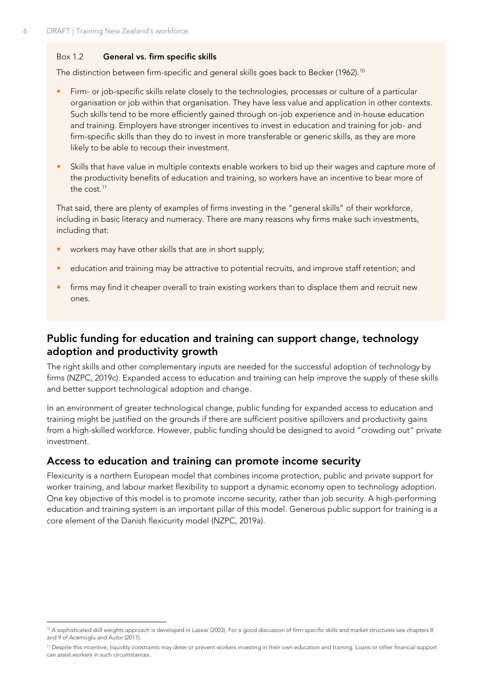#### <span id="page-17-0"></span>Box 1.2 **General vs. firm specific skills**

The distinction between firm-specific and general skills goes back to Becker (1962).<sup>10</sup>

- Firm- or job-specific skills relate closely to the technologies, processes or culture of a particular organisation or job within that organisation. They have less value and application in other contexts. Such skills tend to be more efficiently gained through on-job experience and in-house education and training. Employers have stronger incentives to invest in education and training for job- and firm-specific skills than they do to invest in more transferable or generic skills, as they are more likely to be able to recoup their investment.
- Skills that have value in multiple contexts enable workers to bid up their wages and capture more of the productivity benefits of education and training, so workers have an incentive to bear more of the cost 11

That said, there are plenty of examples of firms investing in the "general skills" of their workforce, including in basic literacy and numeracy. There are many reasons why firms make such investments, including that:

- workers may have other skills that are in short supply;
- education and training may be attractive to potential recruits, and improve staff retention; and
- firms may find it cheaper overall to train existing workers than to displace them and recruit new ones.

## **Public funding for education and training can support change, technology adoption and productivity growth**

The right skills and other complementary inputs are needed for the successful adoption of technology by firms (NZPC, 2019c). Expanded access to education and training can help improve the supply of these skills and better support technological adoption and change.

In an environment of greater technological change, public funding for expanded access to education and training might be justified on the grounds if there are sufficient positive spillovers and productivity gains from a high-skilled workforce. However, public funding should be designed to avoid "crowding out" private investment.

## **Access to education and training can promote income security**

Flexicurity is a northern European model that combines income protection, public and private support for worker training, and labour market flexibility to support a dynamic economy open to technology adoption. One key objective of this model is to promote income security, rather than job security. A high-performing education and training system is an important pillar of this model. Generous public support for training is a core element of the Danish flexicurity model (NZPC, 2019a).

<sup>&</sup>lt;sup>10</sup> A sophisticated skill weights approach is developed in Lazear (2003). For a good discussion of firm-specific skills and market structures see chapters 8 and 9 of Acemoglu and Autor (2011).

<sup>11</sup> Despite this incentive, liquidity constraints may deter or prevent workers investing in their own education and training. Loans or other financial support can assist workers in such circumstances.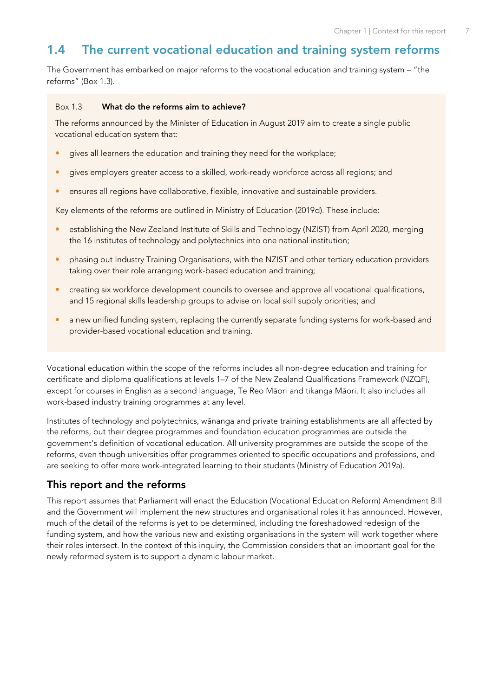## <span id="page-18-0"></span>**1.4 The current vocational education and training system reforms**

The Government has embarked on major reforms to the vocational education and training system – "the reforms" ([Box 1.3\)](#page-18-1).

#### <span id="page-18-1"></span>Box 1.3 **What do the reforms aim to achieve?**

The reforms announced by the Minister of Education in August 2019 aim to create a single public vocational education system that:

- **e** gives all learners the education and training they need for the workplace;
- gives employers greater access to a skilled, work-ready workforce across all regions; and
- ensures all regions have collaborative, flexible, innovative and sustainable providers.

Key elements of the reforms are outlined in Ministry of Education (2019d). These include:

- establishing the New Zealand Institute of Skills and Technology (NZIST) from April 2020, merging the 16 institutes of technology and polytechnics into one national institution;
- phasing out Industry Training Organisations, with the NZIST and other tertiary education providers taking over their role arranging work-based education and training;
- creating six workforce development councils to oversee and approve all vocational qualifications, and 15 regional skills leadership groups to advise on local skill supply priorities; and
- a new unified funding system, replacing the currently separate funding systems for work-based and provider-based vocational education and training.

Vocational education within the scope of the reforms includes all non-degree education and training for certificate and diploma qualifications at levels 1–7 of the New Zealand Qualifications Framework (NZQF), except for courses in English as a second language, Te Reo Māori and tikanga Māori. It also includes all work-based industry training programmes at any level.

Institutes of technology and polytechnics, wānanga and private training establishments are all affected by the reforms, but their degree programmes and foundation education programmes are outside the government's definition of vocational education. All university programmes are outside the scope of the reforms, even though universities offer programmes oriented to specific occupations and professions, and are seeking to offer more work-integrated learning to their students (Ministry of Education 2019a).

## **This report and the reforms**

This report assumes that Parliament will enact the Education (Vocational Education Reform) Amendment Bill and the Government will implement the new structures and organisational roles it has announced. However, much of the detail of the reforms is yet to be determined, including the foreshadowed redesign of the funding system, and how the various new and existing organisations in the system will work together where their roles intersect. In the context of this inquiry, the Commission considers that an important goal for the newly reformed system is to support a dynamic labour market.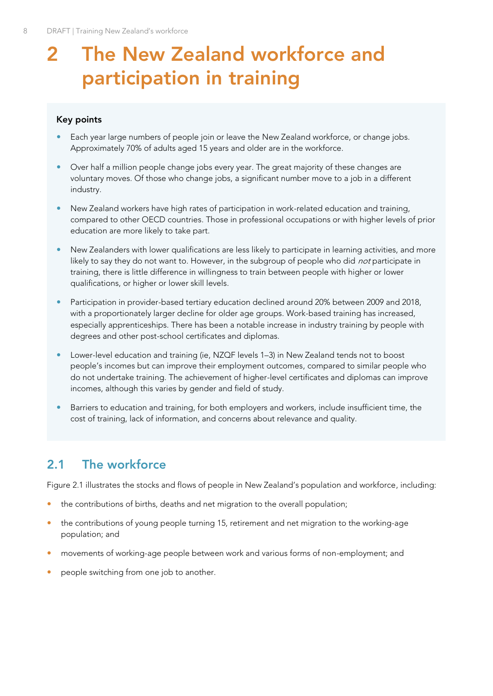## <span id="page-19-0"></span>**2 The New Zealand workforce and participation in training**

#### **Key points**

- Each year large numbers of people join or leave the New Zealand workforce, or change jobs. Approximately 70% of adults aged 15 years and older are in the workforce.
- Over half a million people change jobs every year. The great majority of these changes are voluntary moves. Of those who change jobs, a significant number move to a job in a different industry.
- New Zealand workers have high rates of participation in work-related education and training, compared to other OECD countries. Those in professional occupations or with higher levels of prior education are more likely to take part.
- New Zealanders with lower qualifications are less likely to participate in learning activities, and more likely to say they do not want to. However, in the subgroup of people who did *not* participate in training, there is little difference in willingness to train between people with higher or lower qualifications, or higher or lower skill levels.
- Participation in provider-based tertiary education declined around 20% between 2009 and 2018, with a proportionately larger decline for older age groups. Work-based training has increased, especially apprenticeships. There has been a notable increase in industry training by people with degrees and other post-school certificates and diplomas.
- Lower-level education and training (ie, NZQF levels 1–3) in New Zealand tends not to boost people's incomes but can improve their employment outcomes, compared to similar people who do not undertake training. The achievement of higher-level certificates and diplomas can improve incomes, although this varies by gender and field of study.
- Barriers to education and training, for both employers and workers, include insufficient time, the cost of training, lack of information, and concerns about relevance and quality.

## <span id="page-19-1"></span>**2.1 The workforce**

[Figure 2.1](#page-20-0) illustrates the stocks and flows of people in New Zealand's population and workforce, including:

- the contributions of births, deaths and net migration to the overall population;
- the contributions of young people turning 15, retirement and net migration to the working-age population; and
- movements of working-age people between work and various forms of non-employment; and
- people switching from one job to another.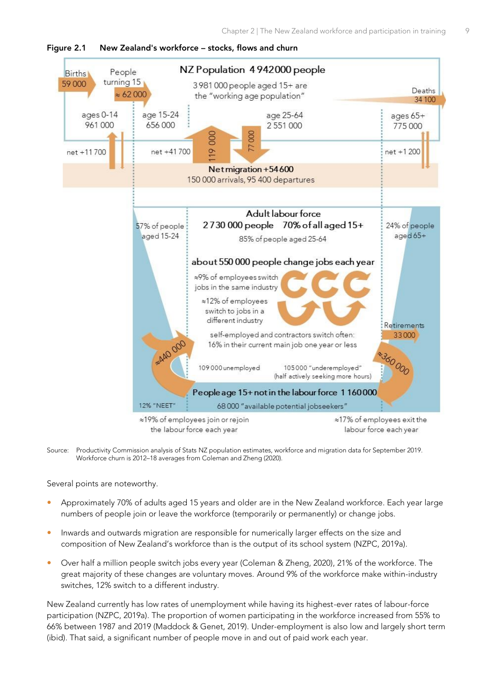

<span id="page-20-0"></span>

Source: Productivity Commission analysis of Stats NZ population estimates, workforce and migration data for September 2019. Workforce churn is 2012–18 averages from Coleman and Zheng (2020).

Several points are noteworthy.

- Approximately 70% of adults aged 15 years and older are in the New Zealand workforce. Each year large numbers of people join or leave the workforce (temporarily or permanently) or change jobs.
- Inwards and outwards migration are responsible for numerically larger effects on the size and composition of New Zealand's workforce than is the output of its school system (NZPC, 2019a).
- Over half a million people switch jobs every year (Coleman & Zheng, 2020), 21% of the workforce. The great majority of these changes are voluntary moves. Around 9% of the workforce make within-industry switches, 12% switch to a different industry.

New Zealand currently has low rates of unemployment while having its highest-ever rates of labour-force participation (NZPC, 2019a). The proportion of women participating in the workforce increased from 55% to 66% between 1987 and 2019 (Maddock & Genet, 2019). Under-employment is also low and largely short term (ibid). That said, a significant number of people move in and out of paid work each year.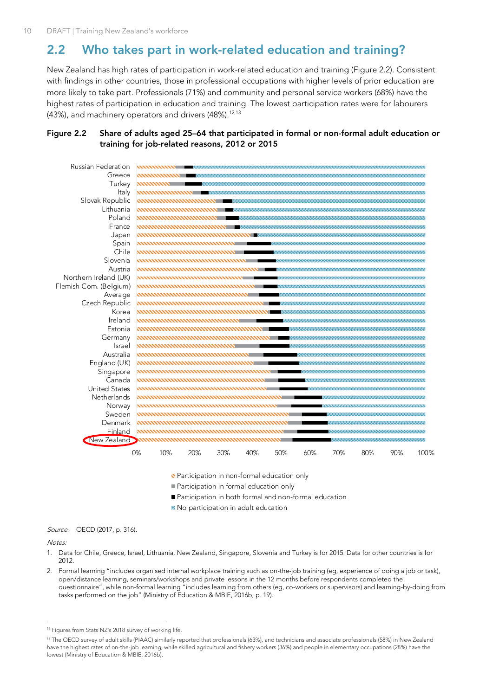## <span id="page-21-0"></span>**2.2 Who takes part in work-related education and training?**

New Zealand has high rates of participation in work-related education and training [\(Figure 2.2\)](#page-21-1). Consistent with findings in other countries, those in professional occupations with higher levels of prior education are more likely to take part. Professionals (71%) and community and personal service workers (68%) have the highest rates of participation in education and training. The lowest participation rates were for labourers (43%), and machinery operators and drivers (48%).<sup>12,13</sup>

#### <span id="page-21-1"></span>**Figure 2.2 Share of adults aged 25–64 that participated in formal or non-formal adult education or training for job-related reasons, 2012 or 2015**



Participation in non-formal education only

- Participation in formal education only
- Participation in both formal and non-formal education
- No participation in adult education

Source: OECD (2017, p. 316).

#### Notes:

- 1. Data for Chile, Greece, Israel, Lithuania, New Zealand, Singapore, Slovenia and Turkey is for 2015. Data for other countries is for 2012.
- 2. Formal learning "includes organised internal workplace training such as on-the-job training (eg, experience of doing a job or task), open/distance learning, seminars/workshops and private lessons in the 12 months before respondents completed the questionnaire", while non-formal learning "includes learning from others (eg, co-workers or supervisors) and learning-by-doing from tasks performed on the job" (Ministry of Education & MBIE, 2016b, p. 19).

<sup>&</sup>lt;sup>12</sup> Figures from Stats NZ's 2018 survey of working life.

<sup>&</sup>lt;sup>13</sup> The OECD survey of adult skills (PIAAC) similarly reported that professionals (63%), and technicians and associate professionals (58%) in New Zealand have the highest rates of on-the-job learning, while skilled agricultural and fishery workers (36%) and people in elementary occupations (28%) have the lowest (Ministry of Education & MBIE, 2016b).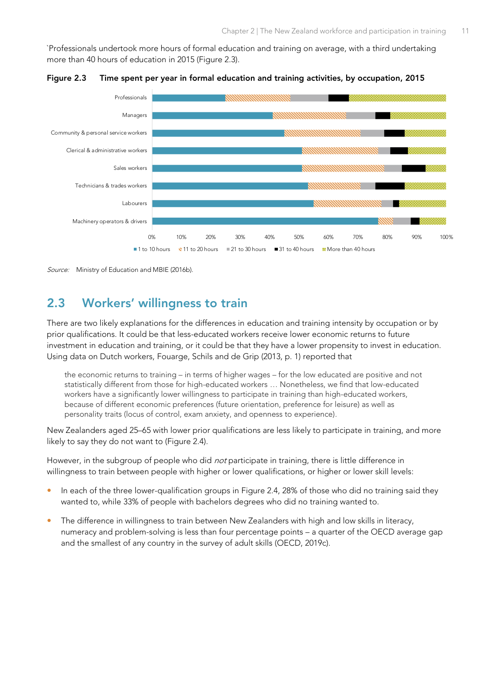`Professionals undertook more hours of formal education and training on average, with a third undertaking more than 40 hours of education in 2015 [\(Figure 2.3\).](#page-22-1)



<span id="page-22-1"></span>**Figure 2.3 Time spent per year in formal education and training activities, by occupation, 2015**

Source: Ministry of Education and MBIE (2016b)

## <span id="page-22-0"></span>**2.3 Workers' willingness to train**

There are two likely explanations for the differences in education and training intensity by occupation or by prior qualifications. It could be that less-educated workers receive lower economic returns to future investment in education and training, or it could be that they have a lower propensity to invest in education. Using data on Dutch workers, Fouarge, Schils and de Grip (2013, p. 1) reported that

the economic returns to training – in terms of higher wages – for the low educated are positive and not statistically different from those for high-educated workers … Nonetheless, we find that low-educated workers have a significantly lower willingness to participate in training than high-educated workers, because of different economic preferences (future orientation, preference for leisure) as well as personality traits (locus of control, exam anxiety, and openness to experience).

New Zealanders aged 25–65 with lower prior qualifications are less likely to participate in training, and more likely to say they do not want to [\(Figure 2.4\)](#page-23-1).

However, in the subgroup of people who did *not* participate in training, there is little difference in willingness to train between people with higher or lower qualifications, or higher or lower skill levels:

- In each of the three lower-qualification groups in [Figure 2.4,](#page-23-1) 28% of those who did no training said they wanted to, while 33% of people with bachelors degrees who did no training wanted to.
- The difference in willingness to train between New Zealanders with high and low skills in literacy, numeracy and problem-solving is less than four percentage points – a quarter of the OECD average gap and the smallest of any country in the survey of adult skills (OECD, 2019c).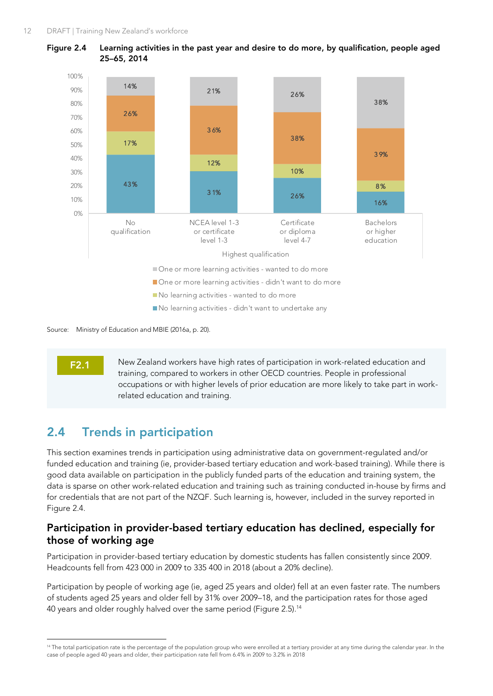

<span id="page-23-1"></span>

Source: Ministry of Education and MBIE (2016a, p. 20).

**F2.1**

New Zealand workers have high rates of participation in work-related education and training, compared to workers in other OECD countries. People in professional occupations or with higher levels of prior education are more likely to take part in workrelated education and training.

## <span id="page-23-0"></span>**2.4 Trends in participation**

This section examines trends in participation using administrative data on government-regulated and/or funded education and training (ie, provider-based tertiary education and work-based training). While there is good data available on participation in the publicly funded parts of the education and training system, the data is sparse on other work-related education and training such as training conducted in-house by firms and for credentials that are not part of the NZQF. Such learning is, however, included in the survey reported in [Figure 2.4.](#page-23-1)

## **Participation in provider-based tertiary education has declined, especially for those of working age**

Participation in provider-based tertiary education by domestic students has fallen consistently since 2009. Headcounts fell from 423 000 in 2009 to 335 400 in 2018 (about a 20% decline).

Participation by people of working age (ie, aged 25 years and older) fell at an even faster rate. The numbers of students aged 25 years and older fell by 31% over 2009–18, and the participation rates for those aged 40 years and older roughly halved over the same period [\(Figure 2.5\)](#page-24-0). 14

<sup>&</sup>lt;sup>14</sup> The total participation rate is the percentage of the population group who were enrolled at a tertiary provider at any time during the calendar year. In the case of people aged 40 years and older, their participation rate fell from 6.4% in 2009 to 3.2% in 2018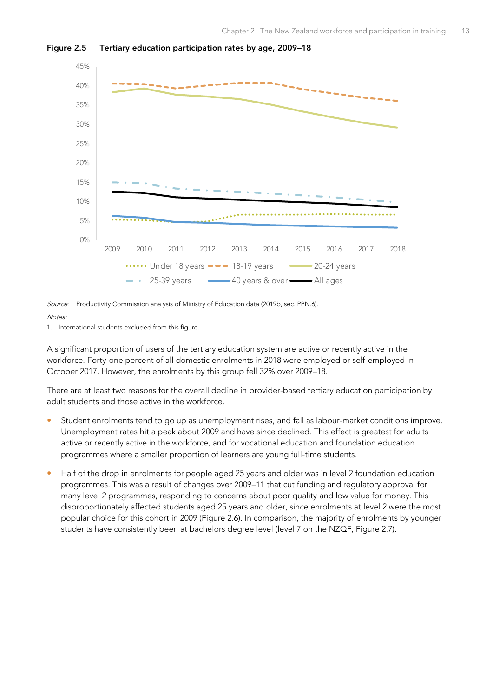<span id="page-24-0"></span>



Source: Productivity Commission analysis of Ministry of Education data (2019b, sec. PPN.6).

Notes:

1. International students excluded from this figure.

A significant proportion of users of the tertiary education system are active or recently active in the workforce. Forty-one percent of all domestic enrolments in 2018 were employed or self-employed in October 2017. However, the enrolments by this group fell 32% over 2009–18.

There are at least two reasons for the overall decline in provider-based tertiary education participation by adult students and those active in the workforce.

- Student enrolments tend to go up as unemployment rises, and fall as labour-market conditions improve. Unemployment rates hit a peak about 2009 and have since declined. This effect is greatest for adults active or recently active in the workforce, and for vocational education and foundation education programmes where a smaller proportion of learners are young full-time students.
- Half of the drop in enrolments for people aged 25 years and older was in level 2 foundation education programmes. This was a result of changes over 2009–11 that cut funding and regulatory approval for many level 2 programmes, responding to concerns about poor quality and low value for money. This disproportionately affected students aged 25 years and older, since enrolments at level 2 were the most popular choice for this cohort in 2009 [\(Figure 2.6\)](#page-25-0). In comparison, the majority of enrolments by younger students have consistently been at bachelors degree level (level 7 on the NZQF, [Figure 2.7\)](#page-25-1).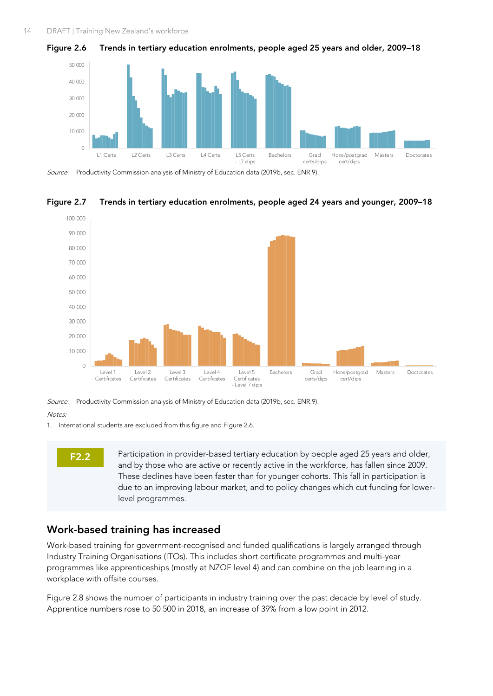<span id="page-25-0"></span>



Source: Productivity Commission analysis of Ministry of Education data (2019b, sec. ENR.9).



#### <span id="page-25-1"></span>**Figure 2.7 Trends in tertiary education enrolments, people aged 24 years and younger, 2009–18**

Source: Productivity Commission analysis of Ministry of Education data (2019b, sec. ENR.9).

Notes:

1. International students are excluded from this figure and [Figure 2.6.](#page-25-0)



Participation in provider-based tertiary education by people aged 25 years and older, and by those who are active or recently active in the workforce, has fallen since 2009. These declines have been faster than for younger cohorts. This fall in participation is due to an improving labour market, and to policy changes which cut funding for lowerlevel programmes.

#### **Work-based training has increased**

Work-based training for government-recognised and funded qualifications is largely arranged through Industry Training Organisations (ITOs). This includes short certificate programmes and multi-year programmes like apprenticeships (mostly at NZQF level 4) and can combine on the job learning in a workplace with offsite courses.

[Figure 2.8](#page-26-0) shows the number of participants in industry training over the past decade by level of study. Apprentice numbers rose to 50 500 in 2018, an increase of 39% from a low point in 2012.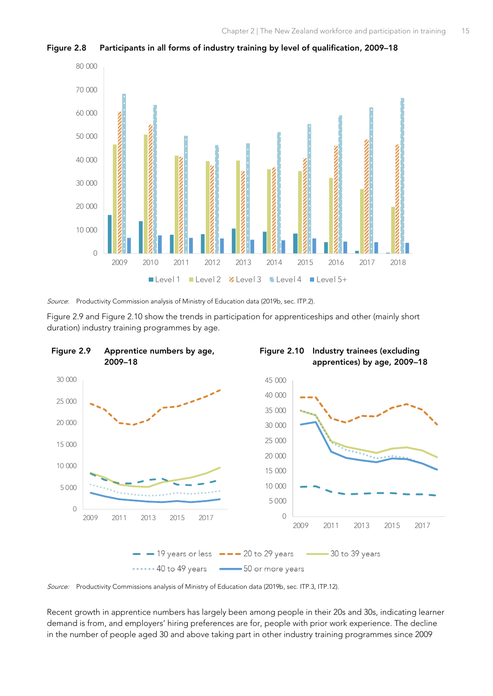

<span id="page-26-0"></span>**Figure 2.8 Participants in all forms of industry training by level of qualification, 2009–18**

Source: Productivity Commission analysis of Ministry of Education data (2019b, sec. ITP.2).

<span id="page-26-2"></span>[Figure 2.9](#page-26-1) and [Figure 2.10](#page-26-2) show the trends in participation for apprenticeships and other (mainly short duration) industry training programmes by age.

<span id="page-26-1"></span>

Source: Productivity Commissions analysis of Ministry of Education data (2019b, sec. ITP.3, ITP.12).

Recent growth in apprentice numbers has largely been among people in their 20s and 30s, indicating learner demand is from, and employers' hiring preferences are for, people with prior work experience. The decline in the number of people aged 30 and above taking part in other industry training programmes since 2009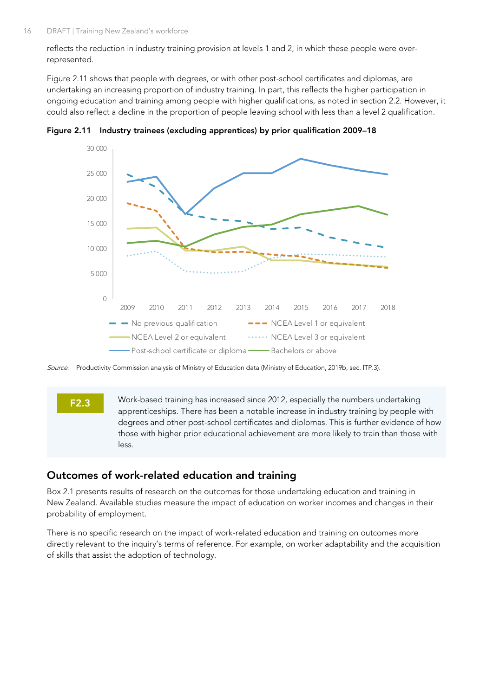reflects the reduction in industry training provision at levels 1 and 2, in which these people were overrepresented.

[Figure 2.11](#page-27-0) shows that people with degrees, or with other post-school certificates and diplomas, are undertaking an increasing proportion of industry training. In part, this reflects the higher participation in ongoing education and training among people with higher qualifications, as noted in section [2.2.](#page-21-0) However, it could also reflect a decline in the proportion of people leaving school with less than a level 2 qualification.



<span id="page-27-0"></span>**Figure 2.11 Industry trainees (excluding apprentices) by prior qualification 2009–18**

Source: Productivity Commission analysis of Ministry of Education data (Ministry of Education, 2019b, sec. ITP.3).

#### **F2.3**

Work-based training has increased since 2012, especially the numbers undertaking apprenticeships. There has been a notable increase in industry training by people with degrees and other post-school certificates and diplomas. This is further evidence of how those with higher prior educational achievement are more likely to train than those with less.

#### **Outcomes of work-related education and training**

[Box 2.1](#page-28-0) presents results of research on the outcomes for those undertaking education and training in New Zealand. Available studies measure the impact of education on worker incomes and changes in their probability of employment.

There is no specific research on the impact of work-related education and training on outcomes more directly relevant to the inquiry's terms of reference. For example, on worker adaptability and the acquisition of skills that assist the adoption of technology.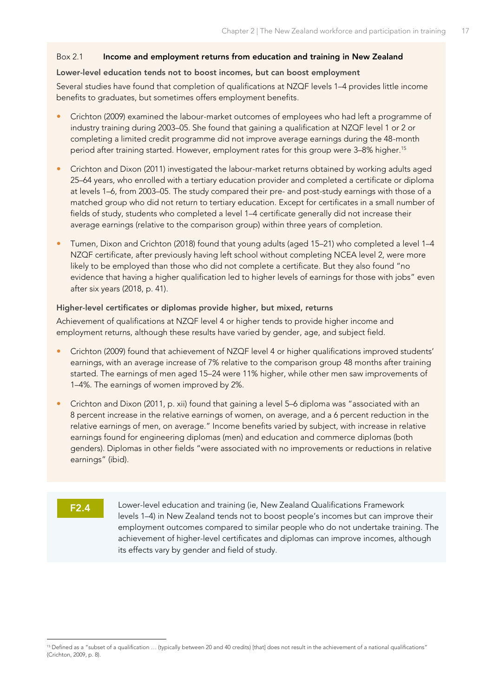#### <span id="page-28-0"></span>Box 2.1 **Income and employment returns from education and training in New Zealand**

#### **Lower-level education tends not to boost incomes, but can boost employment**

Several studies have found that completion of qualifications at NZQF levels 1–4 provides little income benefits to graduates, but sometimes offers employment benefits.

- Crichton (2009) examined the labour-market outcomes of employees who had left a programme of industry training during 2003–05. She found that gaining a qualification at NZQF level 1 or 2 or completing a limited credit programme did not improve average earnings during the 48-month period after training started. However, employment rates for this group were 3-8% higher.<sup>15</sup>
- Crichton and Dixon (2011) investigated the labour-market returns obtained by working adults aged 25–64 years, who enrolled with a tertiary education provider and completed a certificate or diploma at levels 1–6, from 2003–05. The study compared their pre- and post-study earnings with those of a matched group who did not return to tertiary education. Except for certificates in a small number of fields of study, students who completed a level 1–4 certificate generally did not increase their average earnings (relative to the comparison group) within three years of completion.
- Tumen, Dixon and Crichton (2018) found that young adults (aged 15–21) who completed a level 1–4 NZQF certificate, after previously having left school without completing NCEA level 2, were more likely to be employed than those who did not complete a certificate. But they also found "no evidence that having a higher qualification led to higher levels of earnings for those with jobs" even after six years (2018, p. 41).

#### **Higher-level certificates or diplomas provide higher, but mixed, returns**

Achievement of qualifications at NZQF level 4 or higher tends to provide higher income and employment returns, although these results have varied by gender, age, and subject field.

- Crichton (2009) found that achievement of NZQF level 4 or higher qualifications improved students' earnings, with an average increase of 7% relative to the comparison group 48 months after training started. The earnings of men aged 15–24 were 11% higher, while other men saw improvements of 1–4%. The earnings of women improved by 2%.
- Crichton and Dixon (2011, p. xii) found that gaining a level 5–6 diploma was "associated with an 8 percent increase in the relative earnings of women, on average, and a 6 percent reduction in the relative earnings of men, on average." Income benefits varied by subject, with increase in relative earnings found for engineering diplomas (men) and education and commerce diplomas (both genders). Diplomas in other fields "were associated with no improvements or reductions in relative earnings" (ibid).

#### **F2.4**

Lower-level education and training (ie, New Zealand Qualifications Framework levels 1–4) in New Zealand tends not to boost people's incomes but can improve their employment outcomes compared to similar people who do not undertake training. The achievement of higher-level certificates and diplomas can improve incomes, although its effects vary by gender and field of study.

<sup>&</sup>lt;sup>15</sup> Defined as a "subset of a qualification ... (typically between 20 and 40 credits) [that] does not result in the achievement of a national qualifications" (Crichton, 2009, p. 8).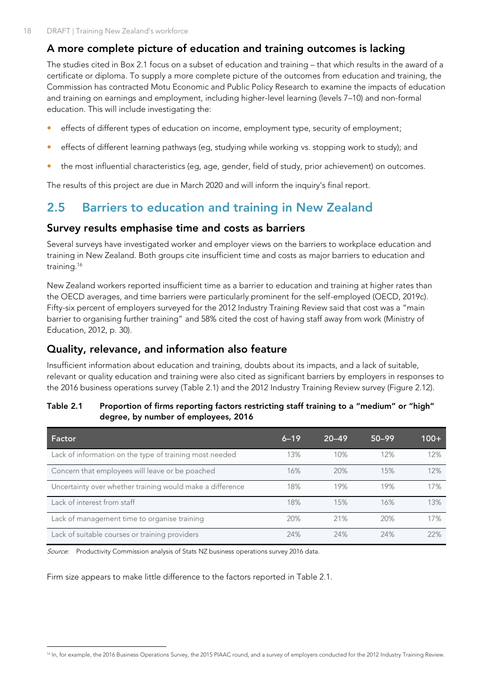## **A more complete picture of education and training outcomes is lacking**

The studies cited in [Box 2.1](#page-28-0) focus on a subset of education and training – that which results in the award of a certificate or diploma. To supply a more complete picture of the outcomes from education and training, the Commission has contracted Motu Economic and Public Policy Research to examine the impacts of education and training on earnings and employment, including higher-level learning (levels 7–10) and non-formal education. This will include investigating the:

- effects of different types of education on income, employment type, security of employment;
- effects of different learning pathways (eg, studying while working vs. stopping work to study); and
- the most influential characteristics (eg, age, gender, field of study, prior achievement) on outcomes.

The results of this project are due in March 2020 and will inform the inquiry's final report.

## <span id="page-29-0"></span>**2.5 Barriers to education and training in New Zealand**

#### **Survey results emphasise time and costs as barriers**

Several surveys have investigated worker and employer views on the barriers to workplace education and training in New Zealand. Both groups cite insufficient time and costs as major barriers to education and training. 16

New Zealand workers reported insufficient time as a barrier to education and training at higher rates than the OECD averages, and time barriers were particularly prominent for the self-employed (OECD, 2019c). Fifty-six percent of employers surveyed for the 2012 Industry Training Review said that cost was a "main barrier to organising further training" and 58% cited the cost of having staff away from work (Ministry of Education, 2012, p. 30).

## **Quality, relevance, and information also feature**

Insufficient information about education and training, doubts about its impacts, and a lack of suitable, relevant or quality education and training were also cited as significant barriers by employers in responses to the 2016 business operations survey [\(Table 2.1\)](#page-29-1) and the 2012 Industry Training Review survey [\(Figure 2.12\)](#page-30-0).

| Factor                                                    | $6 - 19$ | $20 - 49$ | $50 - 99$ | $100+$ |
|-----------------------------------------------------------|----------|-----------|-----------|--------|
| Lack of information on the type of training most needed   | 13%      | 10%       | 12%       | 12%    |
| Concern that employees will leave or be poached           | 16%      | 20%       | 15%       | 12%    |
| Uncertainty over whether training would make a difference | 18%      | 19%       | 19%       | 17%    |
| Lack of interest from staff                               | 18%      | 15%       | 16%       | 13%    |
| Lack of management time to organise training              | 20%      | 21%       | 20%       | 17%    |
| Lack of suitable courses or training providers            | 24%      | 24%       | 24%       | 22%    |

#### <span id="page-29-1"></span>**Table 2.1 Proportion of firms reporting factors restricting staff training to a "medium" or "high" degree, by number of employees, 2016**

Source: Productivity Commission analysis of Stats NZ business operations survey 2016 data.

Firm size appears to make little difference to the factors reported in [Table 2.1.](#page-29-1)

<sup>&</sup>lt;sup>16</sup> In, for example, the 2016 Business Operations Survey, the 2015 PIAAC round, and a survey of employers conducted for the 2012 Industry Training Review.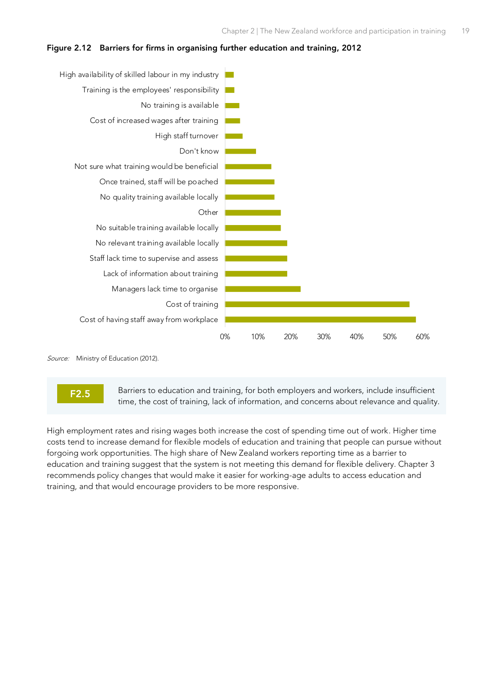<span id="page-30-0"></span>



Source: Ministry of Education (2012).



Barriers to education and training, for both employers and workers, include insufficient time, the cost of training, lack of information, and concerns about relevance and quality.

High employment rates and rising wages both increase the cost of spending time out of work. Higher time costs tend to increase demand for flexible models of education and training that people can pursue without forgoing work opportunities. The high share of New Zealand workers reporting time as a barrier to education and training suggest that the system is not meeting this demand for flexible delivery. Chapter 3 recommends policy changes that would make it easier for working-age adults to access education and training, and that would encourage providers to be more responsive.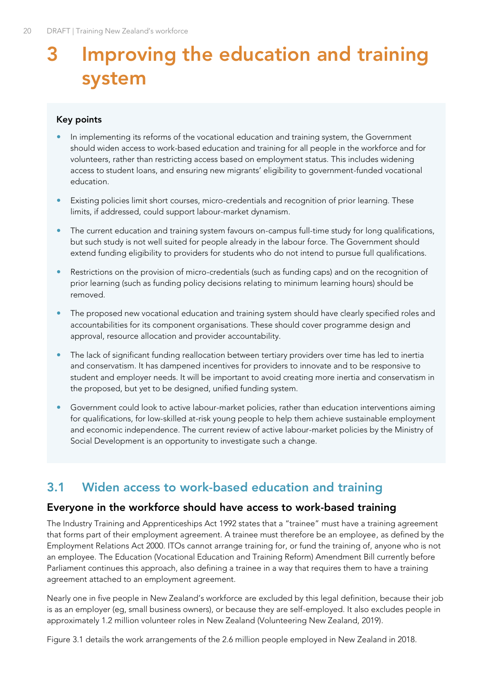## <span id="page-31-0"></span>**3 Improving the education and training system**

#### **Key points**

- In implementing its reforms of the vocational education and training system, the Government should widen access to work-based education and training for all people in the workforce and for volunteers, rather than restricting access based on employment status. This includes widening access to student loans, and ensuring new migrants' eligibility to government-funded vocational education.
- Existing policies limit short courses, micro-credentials and recognition of prior learning. These limits, if addressed, could support labour-market dynamism.
- The current education and training system favours on-campus full-time study for long qualifications, but such study is not well suited for people already in the labour force. The Government should extend funding eligibility to providers for students who do not intend to pursue full qualifications.
- Restrictions on the provision of micro-credentials (such as funding caps) and on the recognition of prior learning (such as funding policy decisions relating to minimum learning hours) should be removed.
- The proposed new vocational education and training system should have clearly specified roles and accountabilities for its component organisations. These should cover programme design and approval, resource allocation and provider accountability.
- The lack of significant funding reallocation between tertiary providers over time has led to inertia and conservatism. It has dampened incentives for providers to innovate and to be responsive to student and employer needs. It will be important to avoid creating more inertia and conservatism in the proposed, but yet to be designed, unified funding system.
- Government could look to active labour-market policies, rather than education interventions aiming for qualifications, for low-skilled at-risk young people to help them achieve sustainable employment and economic independence. The current review of active labour-market policies by the Ministry of Social Development is an opportunity to investigate such a change.

## <span id="page-31-1"></span>**3.1 Widen access to work-based education and training**

#### **Everyone in the workforce should have access to work-based training**

The Industry Training and Apprenticeships Act 1992 states that a "trainee" must have a training agreement that forms part of their employment agreement. A trainee must therefore be an employee, as defined by the Employment Relations Act 2000. ITOs cannot arrange training for, or fund the training of, anyone who is not an employee. The Education (Vocational Education and Training Reform) Amendment Bill currently before Parliament continues this approach, also defining a trainee in a way that requires them to have a training agreement attached to an employment agreement.

Nearly one in five people in New Zealand's workforce are excluded by this legal definition, because their job is as an employer (eg, small business owners), or because they are self-employed. It also excludes people in approximately 1.2 million volunteer roles in New Zealand (Volunteering New Zealand, 2019).

[Figure 3.1](#page-32-0) details the work arrangements of the 2.6 million people employed in New Zealand in 2018.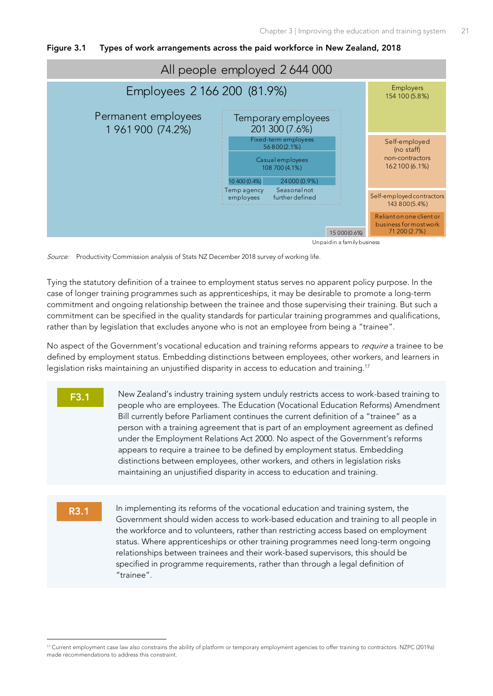<span id="page-32-0"></span>



Source: Productivity Commission analysis of Stats NZ December 2018 survey of working life.

Tying the statutory definition of a trainee to employment status serves no apparent policy purpose. In the case of longer training programmes such as apprenticeships, it may be desirable to promote a long-term commitment and ongoing relationship between the trainee and those supervising their training. But such a commitment can be specified in the quality standards for particular training programmes and qualifications, rather than by legislation that excludes anyone who is not an employee from being a "trainee".

No aspect of the Government's vocational education and training reforms appears to *require* a trainee to be defined by employment status. Embedding distinctions between employees, other workers, and learners in legislation risks maintaining an unjustified disparity in access to education and training.<sup>17</sup>

- **F3.1** New Zealand's industry training system unduly restricts access to work-based training to people who are employees. The Education (Vocational Education Reforms) Amendment Bill currently before Parliament continues the current definition of a "trainee" as a person with a training agreement that is part of an employment agreement as defined under the Employment Relations Act 2000. No aspect of the Government's reforms appears to require a trainee to be defined by employment status. Embedding distinctions between employees, other workers, and others in legislation risks maintaining an unjustified disparity in access to education and training.
- **R3.1**

In implementing its reforms of the vocational education and training system, the Government should widen access to work-based education and training to all people in the workforce and to volunteers, rather than restricting access based on employment status. Where apprenticeships or other training programmes need long-term ongoing relationships between trainees and their work-based supervisors, this should be specified in programme requirements, rather than through a legal definition of "trainee".

<sup>&</sup>lt;sup>17</sup> Current employment case law also constrains the ability of platform or temporary employment agencies to offer training to contractors. NZPC (2019a) made recommendations to address this constraint.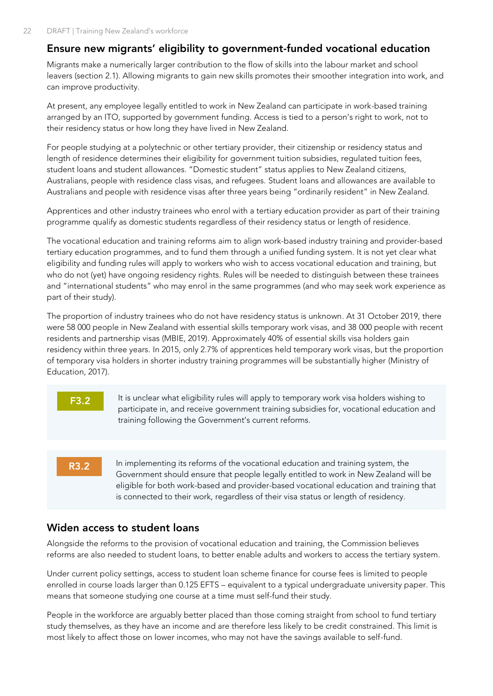## **Ensure new migrants' eligibility to government-funded vocational education**

Migrants make a numerically larger contribution to the flow of skills into the labour market and school leavers (section [2.1\).](#page-19-1) Allowing migrants to gain new skills promotes their smoother integration into work, and can improve productivity.

At present, any employee legally entitled to work in New Zealand can participate in work-based training arranged by an ITO, supported by government funding. Access is tied to a person's right to work, not to their residency status or how long they have lived in New Zealand.

For people studying at a polytechnic or other tertiary provider, their citizenship or residency status and length of residence determines their eligibility for government tuition subsidies, regulated tuition fees, student loans and student allowances. "Domestic student" status applies to New Zealand citizens, Australians, people with residence class visas, and refugees. Student loans and allowances are available to Australians and people with residence visas after three years being "ordinarily resident" in New Zealand.

Apprentices and other industry trainees who enrol with a tertiary education provider as part of their training programme qualify as domestic students regardless of their residency status or length of residence.

The vocational education and training reforms aim to align work-based industry training and provider-based tertiary education programmes, and to fund them through a unified funding system. It is not yet clear what eligibility and funding rules will apply to workers who wish to access vocational education and training, but who do not (yet) have ongoing residency rights. Rules will be needed to distinguish between these trainees and "international students" who may enrol in the same programmes (and who may seek work experience as part of their study).

The proportion of industry trainees who do not have residency status is unknown. At 31 October 2019, there were 58 000 people in New Zealand with essential skills temporary work visas, and 38 000 people with recent residents and partnership visas (MBIE, 2019). Approximately 40% of essential skills visa holders gain residency within three years. In 2015, only 2.7% of apprentices held temporary work visas, but the proportion of temporary visa holders in shorter industry training programmes will be substantially higher (Ministry of Education, 2017).



## **Widen access to student loans**

Alongside the reforms to the provision of vocational education and training, the Commission believes reforms are also needed to student loans, to better enable adults and workers to access the tertiary system.

Under current policy settings, access to student loan scheme finance for course fees is limited to people enrolled in course loads larger than 0.125 EFTS – equivalent to a typical undergraduate university paper. This means that someone studying one course at a time must self-fund their study.

People in the workforce are arguably better placed than those coming straight from school to fund tertiary study themselves, as they have an income and are therefore less likely to be credit constrained. This limit is most likely to affect those on lower incomes, who may not have the savings available to self-fund.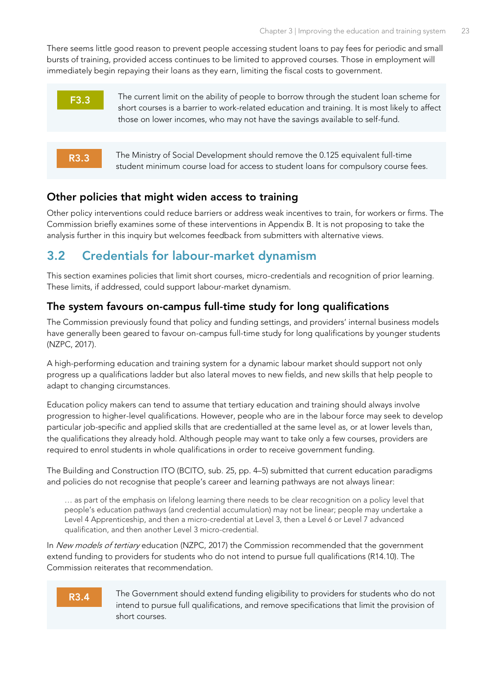There seems little good reason to prevent people accessing student loans to pay fees for periodic and small bursts of training, provided access continues to be limited to approved courses. Those in employment will immediately begin repaying their loans as they earn, limiting the fiscal costs to government.



The Ministry of Social Development should remove the 0.125 equivalent full-time student minimum course load for access to student loans for compulsory course fees.

#### **Other policies that might widen access to training**

Other policy interventions could reduce barriers or address weak incentives to train, for workers or firms. The Commission briefly examines some of these interventions in Appendix B. It is not proposing to take the analysis further in this inquiry but welcomes feedback from submitters with alternative views.

## <span id="page-34-0"></span>**3.2 Credentials for labour-market dynamism**

This section examines policies that limit short courses, micro-credentials and recognition of prior learning. These limits, if addressed, could support labour-market dynamism.

## **The system favours on-campus full-time study for long qualifications**

The Commission previously found that policy and funding settings, and providers' internal business models have generally been geared to favour on-campus full-time study for long qualifications by younger students (NZPC, 2017).

A high-performing education and training system for a dynamic labour market should support not only progress up a qualifications ladder but also lateral moves to new fields, and new skills that help people to adapt to changing circumstances.

Education policy makers can tend to assume that tertiary education and training should always involve progression to higher-level qualifications. However, people who are in the labour force may seek to develop particular job-specific and applied skills that are credentialled at the same level as, or at lower levels than, the qualifications they already hold. Although people may want to take only a few courses, providers are required to enrol students in whole qualifications in order to receive government funding.

The Building and Construction ITO (BCITO, sub. 25, pp. 4–5) submitted that current education paradigms and policies do not recognise that people's career and learning pathways are not always linear:

… as part of the emphasis on lifelong learning there needs to be clear recognition on a policy level that people's education pathways (and credential accumulation) may not be linear; people may undertake a Level 4 Apprenticeship, and then a micro-credential at Level 3, then a Level 6 or Level 7 advanced qualification, and then another Level 3 micro-credential.

In New models of tertiary education (NZPC, 2017) the Commission recommended that the government extend funding to providers for students who do not intend to pursue full qualifications (R14.10). The Commission reiterates that recommendation.

#### **R3.4**

**R3.3**

The Government should extend funding eligibility to providers for students who do not intend to pursue full qualifications, and remove specifications that limit the provision of short courses.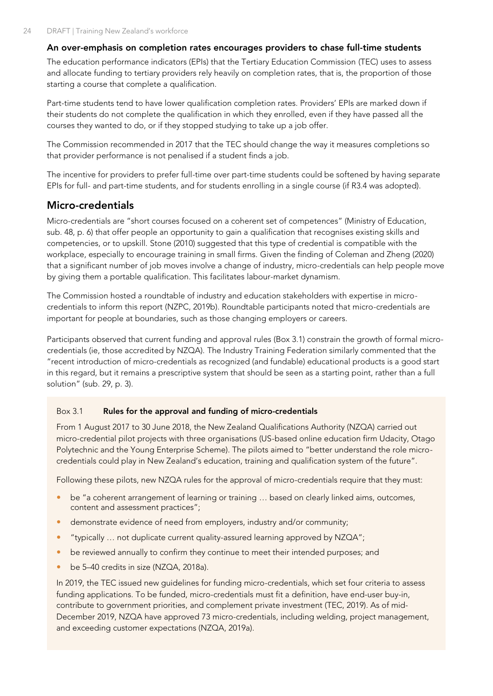#### **An over-emphasis on completion rates encourages providers to chase full-time students**

The education performance indicators (EPIs) that the Tertiary Education Commission (TEC) uses to assess and allocate funding to tertiary providers rely heavily on completion rates, that is, the proportion of those starting a course that complete a qualification.

Part-time students tend to have lower qualification completion rates. Providers' EPIs are marked down if their students do not complete the qualification in which they enrolled, even if they have passed all the courses they wanted to do, or if they stopped studying to take up a job offer.

The Commission recommended in 2017 that the TEC should change the way it measures completions so that provider performance is not penalised if a student finds a job.

The incentive for providers to prefer full-time over part-time students could be softened by having separate EPIs for full- and part-time students, and for students enrolling in a single course (if R3.4 was adopted).

## **Micro-credentials**

Micro-credentials are "short courses focused on a coherent set of competences" (Ministry of Education, sub. 48, p. 6) that offer people an opportunity to gain a qualification that recognises existing skills and competencies, or to upskill. Stone (2010) suggested that this type of credential is compatible with the workplace, especially to encourage training in small firms. Given the finding of Coleman and Zheng (2020) that a significant number of job moves involve a change of industry, micro-credentials can help people move by giving them a portable qualification. This facilitates labour-market dynamism.

The Commission hosted a roundtable of industry and education stakeholders with expertise in microcredentials to inform this report (NZPC, 2019b). Roundtable participants noted that micro-credentials are important for people at boundaries, such as those changing employers or careers.

Participants observed that current funding and approval rules [\(Box 3.1\)](#page-35-0) constrain the growth of formal microcredentials (ie, those accredited by NZQA). The Industry Training Federation similarly commented that the "recent introduction of micro-credentials as recognized (and fundable) educational products is a good start in this regard, but it remains a prescriptive system that should be seen as a starting point, rather than a full solution" (sub. 29, p. 3).

#### <span id="page-35-0"></span>Box 3.1 **Rules for the approval and funding of micro-credentials**

From 1 August 2017 to 30 June 2018, the New Zealand Qualifications Authority (NZQA) carried out micro-credential pilot projects with three organisations (US-based online education firm Udacity, Otago Polytechnic and the Young Enterprise Scheme). The pilots aimed to "better understand the role microcredentials could play in New Zealand's education, training and qualification system of the future".

Following these pilots, new NZQA rules for the approval of micro-credentials require that they must:

- be "a coherent arrangement of learning or training … based on clearly linked aims, outcomes, content and assessment practices";
- demonstrate evidence of need from employers, industry and/or community;
- "typically … not duplicate current quality-assured learning approved by NZQA";
- be reviewed annually to confirm they continue to meet their intended purposes; and
- be 5–40 credits in size (NZQA, 2018a).

In 2019, the TEC issued new guidelines for funding micro-credentials, which set four criteria to assess funding applications. To be funded, micro-credentials must fit a definition, have end-user buy-in, contribute to government priorities, and complement private investment (TEC, 2019). As of mid-December 2019, NZQA have approved 73 micro-credentials, including welding, project management, and exceeding customer expectations (NZQA, 2019a).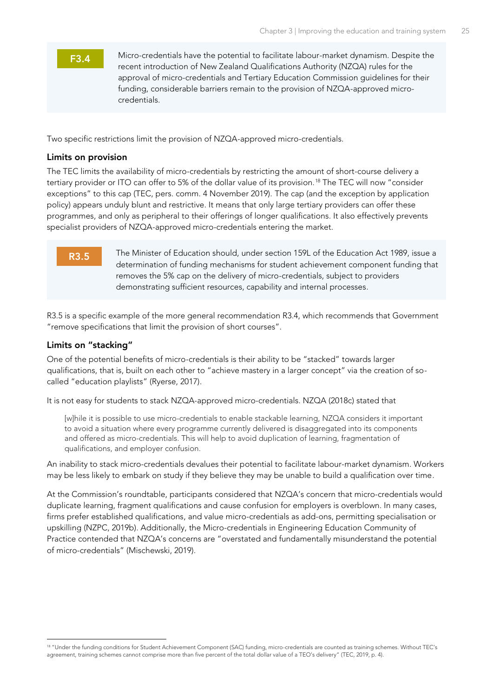#### **F3.4**

Micro-credentials have the potential to facilitate labour-market dynamism. Despite the recent introduction of New Zealand Qualifications Authority (NZQA) rules for the approval of micro-credentials and Tertiary Education Commission guidelines for their funding, considerable barriers remain to the provision of NZQA-approved microcredentials.

Two specific restrictions limit the provision of NZQA-approved micro-credentials.

#### **Limits on provision**

The TEC limits the availability of micro-credentials by restricting the amount of short-course delivery a tertiary provider or ITO can offer to 5% of the dollar value of its provision.<sup>18</sup> The TEC will now "consider exceptions" to this cap (TEC, pers. comm. 4 November 2019). The cap (and the exception by application policy) appears unduly blunt and restrictive. It means that only large tertiary providers can offer these programmes, and only as peripheral to their offerings of longer qualifications. It also effectively prevents specialist providers of NZQA-approved micro-credentials entering the market.

#### **R3.5**

The Minister of Education should, under section 159L of the Education Act 1989, issue a determination of funding mechanisms for student achievement component funding that removes the 5% cap on the delivery of micro-credentials, subject to providers demonstrating sufficient resources, capability and internal processes.

R3.5 is a specific example of the more general recommendation R3.4, which recommends that Government "remove specifications that limit the provision of short courses".

#### **Limits on "stacking"**

One of the potential benefits of micro-credentials is their ability to be "stacked" towards larger qualifications, that is, built on each other to "achieve mastery in a larger concept" via the creation of socalled "education playlists" (Ryerse, 2017).

It is not easy for students to stack NZQA-approved micro-credentials. NZQA (2018c) stated that

[w]hile it is possible to use micro-credentials to enable stackable learning, NZQA considers it important to avoid a situation where every programme currently delivered is disaggregated into its components and offered as micro-credentials. This will help to avoid duplication of learning, fragmentation of qualifications, and employer confusion.

An inability to stack micro-credentials devalues their potential to facilitate labour-market dynamism. Workers may be less likely to embark on study if they believe they may be unable to build a qualification over time.

At the Commission's roundtable, participants considered that NZQA's concern that micro-credentials would duplicate learning, fragment qualifications and cause confusion for employers is overblown. In many cases, firms prefer established qualifications, and value micro-credentials as add-ons, permitting specialisation or upskilling (NZPC, 2019b). Additionally, the Micro-credentials in Engineering Education Community of Practice contended that NZQA's concerns are "overstated and fundamentally misunderstand the potential of micro-credentials" (Mischewski, 2019).

<sup>18 &</sup>quot;Under the funding conditions for Student Achievement Component (SAC) funding, micro-credentials are counted as training schemes. Without TEC's agreement, training schemes cannot comprise more than five percent of the total dollar value of a TEO's delivery" (TEC, 2019, p. 4).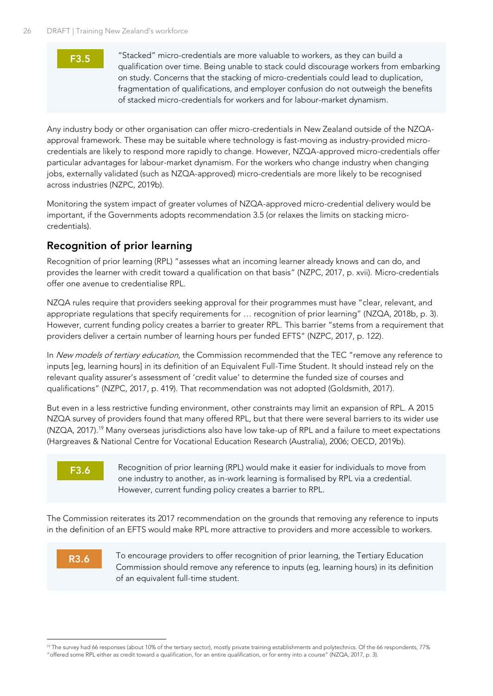#### **F3.5**

"Stacked" micro-credentials are more valuable to workers, as they can build a qualification over time. Being unable to stack could discourage workers from embarking on study. Concerns that the stacking of micro-credentials could lead to duplication, fragmentation of qualifications, and employer confusion do not outweigh the benefits of stacked micro-credentials for workers and for labour-market dynamism.

Any industry body or other organisation can offer micro-credentials in New Zealand outside of the NZQAapproval framework. These may be suitable where technology is fast-moving as industry-provided microcredentials are likely to respond more rapidly to change. However, NZQA-approved micro-credentials offer particular advantages for labour-market dynamism. For the workers who change industry when changing jobs, externally validated (such as NZQA-approved) micro-credentials are more likely to be recognised across industries (NZPC, 2019b).

Monitoring the system impact of greater volumes of NZQA-approved micro-credential delivery would be important, if the Governments adopts recommendation 3.5 (or relaxes the limits on stacking microcredentials).

## **Recognition of prior learning**

Recognition of prior learning (RPL) "assesses what an incoming learner already knows and can do, and provides the learner with credit toward a qualification on that basis" (NZPC, 2017, p. xvii). Micro-credentials offer one avenue to credentialise RPL.

NZQA rules require that providers seeking approval for their programmes must have "clear, relevant, and appropriate regulations that specify requirements for … recognition of prior learning" (NZQA, 2018b, p. 3). However, current funding policy creates a barrier to greater RPL. This barrier "stems from a requirement that providers deliver a certain number of learning hours per funded EFTS" (NZPC, 2017, p. 122).

In New models of tertiary education, the Commission recommended that the TEC "remove any reference to inputs [eg, learning hours] in its definition of an Equivalent Full-Time Student. It should instead rely on the relevant quality assurer's assessment of 'credit value' to determine the funded size of courses and qualifications" (NZPC, 2017, p. 419). That recommendation was not adopted (Goldsmith, 2017).

But even in a less restrictive funding environment, other constraints may limit an expansion of RPL. A 2015 NZQA survey of providers found that many offered RPL, but that there were several barriers to its wider use (NZQA, 2017). <sup>19</sup> Many overseas jurisdictions also have low take-up of RPL and a failure to meet expectations (Hargreaves & National Centre for Vocational Education Research (Australia), 2006; OECD, 2019b).

## **F3.6**

Recognition of prior learning (RPL) would make it easier for individuals to move from one industry to another, as in-work learning is formalised by RPL via a credential. However, current funding policy creates a barrier to RPL.

The Commission reiterates its 2017 recommendation on the grounds that removing any reference to inputs in the definition of an EFTS would make RPL more attractive to providers and more accessible to workers.

## **R3.6**

To encourage providers to offer recognition of prior learning, the Tertiary Education Commission should remove any reference to inputs (eg, learning hours) in its definition of an equivalent full-time student.

<sup>&</sup>lt;sup>19</sup> The survey had 66 responses (about 10% of the tertiary sector), mostly private training establishments and polytechnics. Of the 66 respondents, 77% "offered some RPL either as credit toward a qualification, for an entire qualification, or for entry into a course" (NZQA, 2017, p. 3).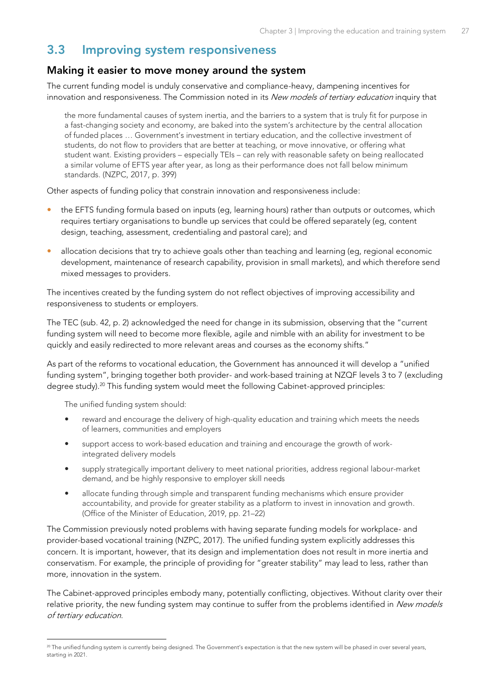## <span id="page-38-0"></span>**3.3 Improving system responsiveness**

#### **Making it easier to move money around the system**

The current funding model is unduly conservative and compliance-heavy, dampening incentives for innovation and responsiveness. The Commission noted in its New models of tertiary education inquiry that

the more fundamental causes of system inertia, and the barriers to a system that is truly fit for purpose in a fast-changing society and economy, are baked into the system's architecture by the central allocation of funded places … Government's investment in tertiary education, and the collective investment of students, do not flow to providers that are better at teaching, or move innovative, or offering what student want. Existing providers – especially TEIs – can rely with reasonable safety on being reallocated a similar volume of EFTS year after year, as long as their performance does not fall below minimum standards. (NZPC, 2017, p. 399)

Other aspects of funding policy that constrain innovation and responsiveness include:

- the EFTS funding formula based on inputs (eg, learning hours) rather than outputs or outcomes, which requires tertiary organisations to bundle up services that could be offered separately (eg, content design, teaching, assessment, credentialing and pastoral care); and
- allocation decisions that try to achieve goals other than teaching and learning (eg, regional economic development, maintenance of research capability, provision in small markets), and which therefore send mixed messages to providers.

The incentives created by the funding system do not reflect objectives of improving accessibility and responsiveness to students or employers.

The TEC (sub. 42, p. 2) acknowledged the need for change in its submission, observing that the "current funding system will need to become more flexible, agile and nimble with an ability for investment to be quickly and easily redirected to more relevant areas and courses as the economy shifts."

As part of the reforms to vocational education, the Government has announced it will develop a "unified funding system", bringing together both provider- and work-based training at NZQF levels 3 to 7 (excluding degree study).<sup>20</sup> This funding system would meet the following Cabinet-approved principles:

The unified funding system should:

- reward and encourage the delivery of high-quality education and training which meets the needs of learners, communities and employers
- support access to work-based education and training and encourage the growth of workintegrated delivery models
- supply strategically important delivery to meet national priorities, address regional labour-market demand, and be highly responsive to employer skill needs
- allocate funding through simple and transparent funding mechanisms which ensure provider accountability, and provide for greater stability as a platform to invest in innovation and growth. (Office of the Minister of Education, 2019, pp. 21–22)

The Commission previously noted problems with having separate funding models for workplace- and provider-based vocational training (NZPC, 2017). The unified funding system explicitly addresses this concern. It is important, however, that its design and implementation does not result in more inertia and conservatism. For example, the principle of providing for "greater stability" may lead to less, rather than more, innovation in the system.

The Cabinet-approved principles embody many, potentially conflicting, objectives. Without clarity over their relative priority, the new funding system may continue to suffer from the problems identified in New models of tertiary education.

<sup>&</sup>lt;sup>20</sup> The unified funding system is currently being designed. The Government's expectation is that the new system will be phased in over several years, starting in 2021.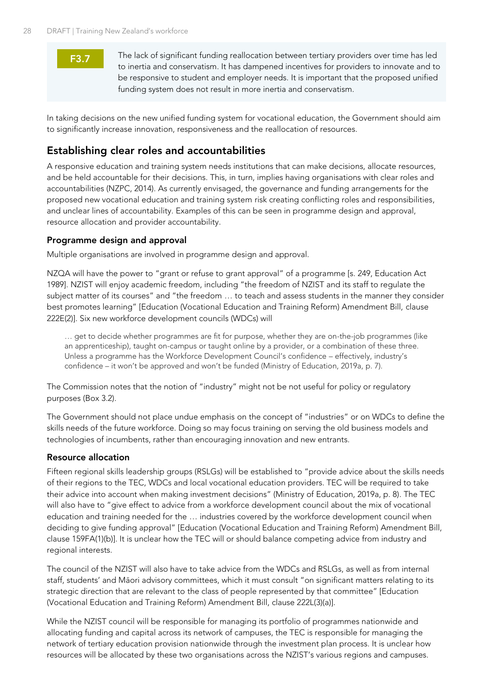## **F3.7**

The lack of significant funding reallocation between tertiary providers over time has led to inertia and conservatism. It has dampened incentives for providers to innovate and to be responsive to student and employer needs. It is important that the proposed unified funding system does not result in more inertia and conservatism.

In taking decisions on the new unified funding system for vocational education, the Government should aim to significantly increase innovation, responsiveness and the reallocation of resources.

## **Establishing clear roles and accountabilities**

A responsive education and training system needs institutions that can make decisions, allocate resources, and be held accountable for their decisions. This, in turn, implies having organisations with clear roles and accountabilities (NZPC, 2014). As currently envisaged, the governance and funding arrangements for the proposed new vocational education and training system risk creating conflicting roles and responsibilities, and unclear lines of accountability. Examples of this can be seen in programme design and approval, resource allocation and provider accountability.

#### **Programme design and approval**

Multiple organisations are involved in programme design and approval.

NZQA will have the power to "grant or refuse to grant approval" of a programme [s. 249, Education Act 1989]. NZIST will enjoy academic freedom, including "the freedom of NZIST and its staff to regulate the subject matter of its courses" and "the freedom … to teach and assess students in the manner they consider best promotes learning" [Education (Vocational Education and Training Reform) Amendment Bill, clause 222E(2)]. Six new workforce development councils (WDCs) will

… get to decide whether programmes are fit for purpose, whether they are on-the-job programmes (like an apprenticeship), taught on-campus or taught online by a provider, or a combination of these three. Unless a programme has the Workforce Development Council's confidence – effectively, industry's confidence – it won't be approved and won't be funded (Ministry of Education, 2019a, p. 7).

The Commission notes that the notion of "industry" might not be not useful for policy or regulatory purposes [\(Box 3.2\)](#page-40-0).

The Government should not place undue emphasis on the concept of "industries" or on WDCs to define the skills needs of the future workforce. Doing so may focus training on serving the old business models and technologies of incumbents, rather than encouraging innovation and new entrants.

#### **Resource allocation**

Fifteen regional skills leadership groups (RSLGs) will be established to "provide advice about the skills needs of their regions to the TEC, WDCs and local vocational education providers. TEC will be required to take their advice into account when making investment decisions" (Ministry of Education, 2019a, p. 8). The TEC will also have to "give effect to advice from a workforce development council about the mix of vocational education and training needed for the … industries covered by the workforce development council when deciding to give funding approval" [Education (Vocational Education and Training Reform) Amendment Bill, clause 159FA(1)(b)]. It is unclear how the TEC will or should balance competing advice from industry and regional interests.

The council of the NZIST will also have to take advice from the WDCs and RSLGs, as well as from internal staff, students' and Māori advisory committees, which it must consult "on significant matters relating to its strategic direction that are relevant to the class of people represented by that committee" [Education (Vocational Education and Training Reform) Amendment Bill, clause 222L(3)(a)].

While the NZIST council will be responsible for managing its portfolio of programmes nationwide and allocating funding and capital across its network of campuses, the TEC is responsible for managing the network of tertiary education provision nationwide through the investment plan process. It is unclear how resources will be allocated by these two organisations across the NZIST's various regions and campuses.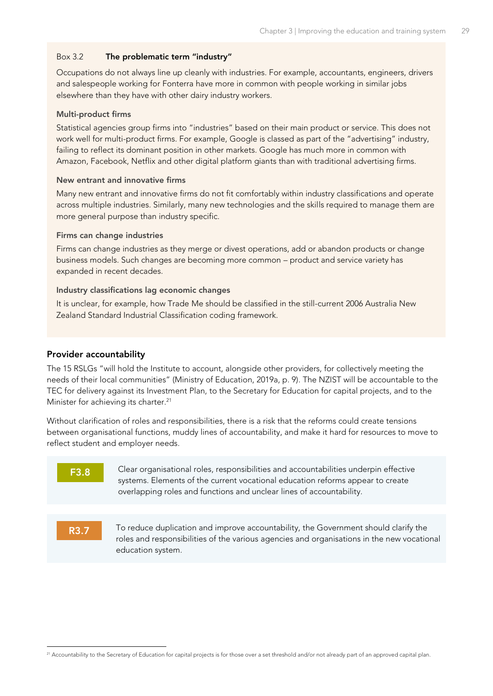#### <span id="page-40-0"></span>Box 3.2 **The problematic term "industry"**

Occupations do not always line up cleanly with industries. For example, accountants, engineers, drivers and salespeople working for Fonterra have more in common with people working in similar jobs elsewhere than they have with other dairy industry workers.

#### **Multi-product firms**

Statistical agencies group firms into "industries" based on their main product or service. This does not work well for multi-product firms. For example, Google is classed as part of the "advertising" industry, failing to reflect its dominant position in other markets. Google has much more in common with Amazon, Facebook, Netflix and other digital platform giants than with traditional advertising firms.

#### **New entrant and innovative firms**

Many new entrant and innovative firms do not fit comfortably within industry classifications and operate across multiple industries. Similarly, many new technologies and the skills required to manage them are more general purpose than industry specific.

#### **Firms can change industries**

Firms can change industries as they merge or divest operations, add or abandon products or change business models. Such changes are becoming more common – product and service variety has expanded in recent decades.

#### **Industry classifications lag economic changes**

It is unclear, for example, how Trade Me should be classified in the still-current 2006 Australia New Zealand Standard Industrial Classification coding framework.

#### **Provider accountability**

The 15 RSLGs "will hold the Institute to account, alongside other providers, for collectively meeting the needs of their local communities" (Ministry of Education, 2019a, p. 9). The NZIST will be accountable to the TEC for delivery against its Investment Plan, to the Secretary for Education for capital projects, and to the Minister for achieving its charter. 21

Without clarification of roles and responsibilities, there is a risk that the reforms could create tensions between organisational functions, muddy lines of accountability, and make it hard for resources to move to reflect student and employer needs.

## **F3.8**

Clear organisational roles, responsibilities and accountabilities underpin effective systems. Elements of the current vocational education reforms appear to create overlapping roles and functions and unclear lines of accountability.

#### **R3.7**

To reduce duplication and improve accountability, the Government should clarify the roles and responsibilities of the various agencies and organisations in the new vocational education system.

<sup>&</sup>lt;sup>21</sup> Accountability to the Secretary of Education for capital projects is for those over a set threshold and/or not already part of an approved capital plan.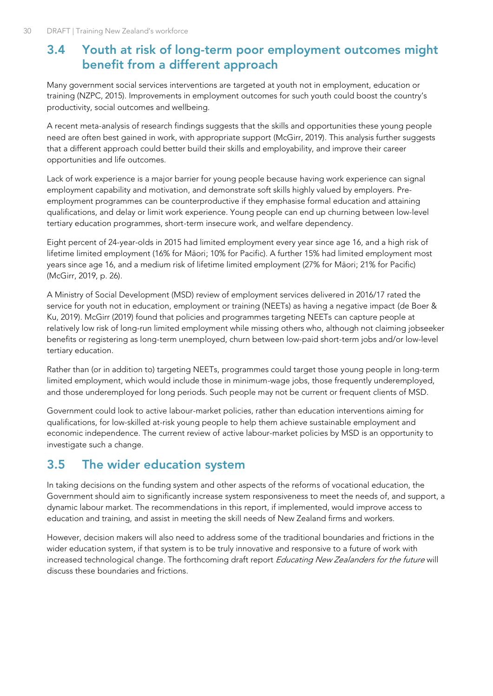## <span id="page-41-0"></span>**3.4 Youth at risk of long-term poor employment outcomes might benefit from a different approach**

Many government social services interventions are targeted at youth not in employment, education or training (NZPC, 2015). Improvements in employment outcomes for such youth could boost the country's productivity, social outcomes and wellbeing.

A recent meta-analysis of research findings suggests that the skills and opportunities these young people need are often best gained in work, with appropriate support (McGirr, 2019). This analysis further suggests that a different approach could better build their skills and employability, and improve their career opportunities and life outcomes.

Lack of work experience is a major barrier for young people because having work experience can signal employment capability and motivation, and demonstrate soft skills highly valued by employers. Preemployment programmes can be counterproductive if they emphasise formal education and attaining qualifications, and delay or limit work experience. Young people can end up churning between low-level tertiary education programmes, short-term insecure work, and welfare dependency.

Eight percent of 24-year-olds in 2015 had limited employment every year since age 16, and a high risk of lifetime limited employment (16% for Māori; 10% for Pacific). A further 15% had limited employment most years since age 16, and a medium risk of lifetime limited employment (27% for Māori; 21% for Pacific) (McGirr, 2019, p. 26).

A Ministry of Social Development (MSD) review of employment services delivered in 2016/17 rated the service for youth not in education, employment or training (NEETs) as having a negative impact (de Boer & Ku, 2019). McGirr (2019) found that policies and programmes targeting NEETs can capture people at relatively low risk of long-run limited employment while missing others who, although not claiming jobseeker benefits or registering as long-term unemployed, churn between low-paid short-term jobs and/or low-level tertiary education.

Rather than (or in addition to) targeting NEETs, programmes could target those young people in long-term limited employment, which would include those in minimum-wage jobs, those frequently underemployed, and those underemployed for long periods. Such people may not be current or frequent clients of MSD.

Government could look to active labour-market policies, rather than education interventions aiming for qualifications, for low-skilled at-risk young people to help them achieve sustainable employment and economic independence. The current review of active labour-market policies by MSD is an opportunity to investigate such a change.

## <span id="page-41-1"></span>**3.5 The wider education system**

In taking decisions on the funding system and other aspects of the reforms of vocational education, the Government should aim to significantly increase system responsiveness to meet the needs of, and support, a dynamic labour market. The recommendations in this report, if implemented, would improve access to education and training, and assist in meeting the skill needs of New Zealand firms and workers.

However, decision makers will also need to address some of the traditional boundaries and frictions in the wider education system, if that system is to be truly innovative and responsive to a future of work with increased technological change. The forthcoming draft report Educating New Zealanders for the future will discuss these boundaries and frictions.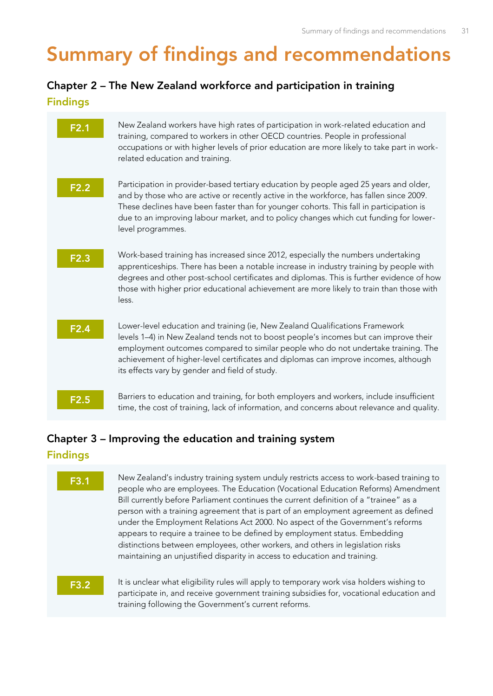## <span id="page-42-0"></span>**Summary of findings and recommendations**

## **Chapter 2 – The New Zealand workforce and participation in training**

|  | $\sim$ |  |
|--|--------|--|

| F2.1 | New Zealand workers have high rates of participation in work-related education and<br>training, compared to workers in other OECD countries. People in professional<br>occupations or with higher levels of prior education are more likely to take part in work-<br>related education and training.                                                                                               |
|------|----------------------------------------------------------------------------------------------------------------------------------------------------------------------------------------------------------------------------------------------------------------------------------------------------------------------------------------------------------------------------------------------------|
| F2.2 | Participation in provider-based tertiary education by people aged 25 years and older,<br>and by those who are active or recently active in the workforce, has fallen since 2009.<br>These declines have been faster than for younger cohorts. This fall in participation is<br>due to an improving labour market, and to policy changes which cut funding for lower-<br>level programmes.          |
| F2.3 | Work-based training has increased since 2012, especially the numbers undertaking<br>apprenticeships. There has been a notable increase in industry training by people with<br>degrees and other post-school certificates and diplomas. This is further evidence of how<br>those with higher prior educational achievement are more likely to train than those with<br>less.                        |
| F2.4 | Lower-level education and training (ie, New Zealand Qualifications Framework<br>levels 1-4) in New Zealand tends not to boost people's incomes but can improve their<br>employment outcomes compared to similar people who do not undertake training. The<br>achievement of higher-level certificates and diplomas can improve incomes, although<br>its effects vary by gender and field of study. |
| F2.5 | Barriers to education and training, for both employers and workers, include insufficient<br>time, the cost of training, lack of information, and concerns about relevance and quality.                                                                                                                                                                                                             |

## **Chapter 3 – Improving the education and training system**

#### **Findings**

**F3.1** New Zealand's industry training system unduly restricts access to work-based training to people who are employees. The Education (Vocational Education Reforms) Amendment Bill currently before Parliament continues the current definition of a "trainee" as a person with a training agreement that is part of an employment agreement as defined under the Employment Relations Act 2000. No aspect of the Government's reforms appears to require a trainee to be defined by employment status. Embedding distinctions between employees, other workers, and others in legislation risks maintaining an unjustified disparity in access to education and training.

**F3.2** It is unclear what eligibility rules will apply to temporary work visa holders wishing to participate in, and receive government training subsidies for, vocational education and training following the Government's current reforms.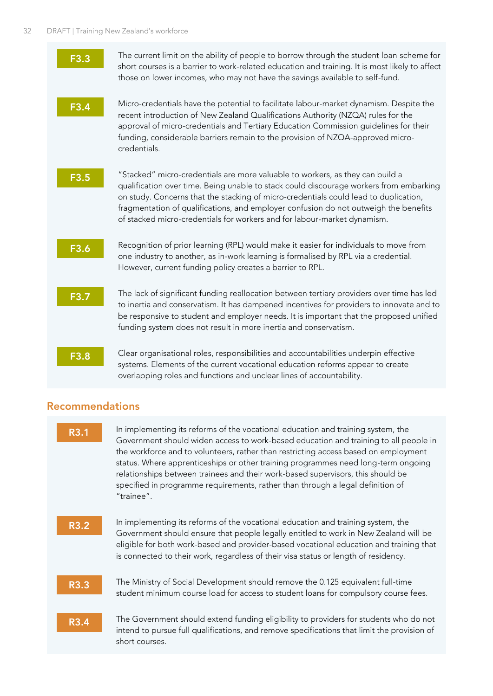| F3.3 | The current limit on the ability of people to borrow through the student loan scheme for<br>short courses is a barrier to work-related education and training. It is most likely to affect<br>those on lower incomes, who may not have the savings available to self-fund.                                                                                                                                                          |
|------|-------------------------------------------------------------------------------------------------------------------------------------------------------------------------------------------------------------------------------------------------------------------------------------------------------------------------------------------------------------------------------------------------------------------------------------|
| F3.4 | Micro-credentials have the potential to facilitate labour-market dynamism. Despite the<br>recent introduction of New Zealand Qualifications Authority (NZQA) rules for the<br>approval of micro-credentials and Tertiary Education Commission guidelines for their<br>funding, considerable barriers remain to the provision of NZQA-approved micro-<br>credentials.                                                                |
| F3.5 | "Stacked" micro-credentials are more valuable to workers, as they can build a<br>qualification over time. Being unable to stack could discourage workers from embarking<br>on study. Concerns that the stacking of micro-credentials could lead to duplication,<br>fragmentation of qualifications, and employer confusion do not outweigh the benefits<br>of stacked micro-credentials for workers and for labour-market dynamism. |
| F3.6 | Recognition of prior learning (RPL) would make it easier for individuals to move from<br>one industry to another, as in-work learning is formalised by RPL via a credential.<br>However, current funding policy creates a barrier to RPL.                                                                                                                                                                                           |
| F3.7 | The lack of significant funding reallocation between tertiary providers over time has led<br>to inertia and conservatism. It has dampened incentives for providers to innovate and to<br>be responsive to student and employer needs. It is important that the proposed unified<br>funding system does not result in more inertia and conservatism.                                                                                 |
| F3.8 | Clear organisational roles, responsibilities and accountabilities underpin effective<br>systems. Elements of the current vocational education reforms appear to create<br>overlapping roles and functions and unclear lines of accountability.                                                                                                                                                                                      |

## **Recommendations**

| R3.1 |             | In implementing its reforms of the vocational education and training system, the<br>Government should widen access to work-based education and training to all people in<br>the workforce and to volunteers, rather than restricting access based on employment                                                                                           |
|------|-------------|-----------------------------------------------------------------------------------------------------------------------------------------------------------------------------------------------------------------------------------------------------------------------------------------------------------------------------------------------------------|
|      |             | status. Where apprenticeships or other training programmes need long-term ongoing<br>relationships between trainees and their work-based supervisors, this should be<br>specified in programme requirements, rather than through a legal definition of<br>"trainee".                                                                                      |
|      | <b>R3.2</b> | In implementing its reforms of the vocational education and training system, the<br>Government should ensure that people legally entitled to work in New Zealand will be<br>eligible for both work-based and provider-based vocational education and training that<br>is connected to their work, regardless of their visa status or length of residency. |
|      | <b>R3.3</b> | The Ministry of Social Development should remove the 0.125 equivalent full-time<br>student minimum course load for access to student loans for compulsory course fees.                                                                                                                                                                                    |
|      | <b>R3.4</b> | The Government should extend funding eligibility to providers for students who do not<br>intend to pursue full qualifications, and remove specifications that limit the provision of<br>short courses.                                                                                                                                                    |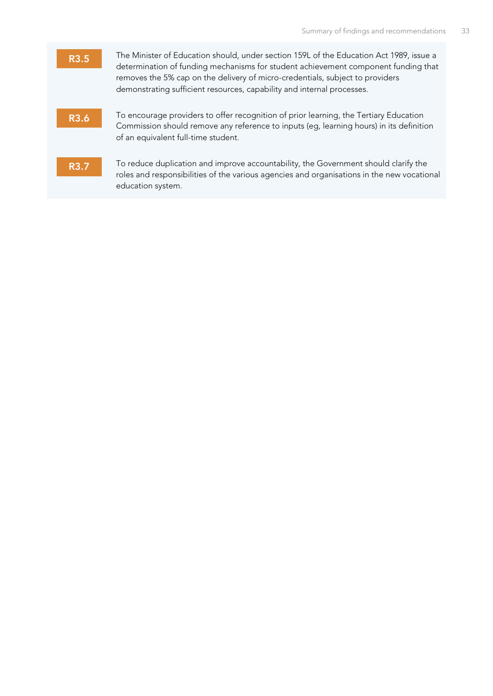| R3.5        | The Minister of Education should, under section 159L of the Education Act 1989, issue a<br>determination of funding mechanisms for student achievement component funding that<br>removes the 5% cap on the delivery of micro-credentials, subject to providers<br>demonstrating sufficient resources, capability and internal processes. |
|-------------|------------------------------------------------------------------------------------------------------------------------------------------------------------------------------------------------------------------------------------------------------------------------------------------------------------------------------------------|
| <b>R3.6</b> | To encourage providers to offer recognition of prior learning, the Tertiary Education<br>Commission should remove any reference to inputs (eg, learning hours) in its definition<br>of an equivalent full-time student.                                                                                                                  |
| R3.7        | To reduce duplication and improve accountability, the Government should clarify the<br>roles and responsibilities of the various agencies and organisations in the new vocational<br>education system.                                                                                                                                   |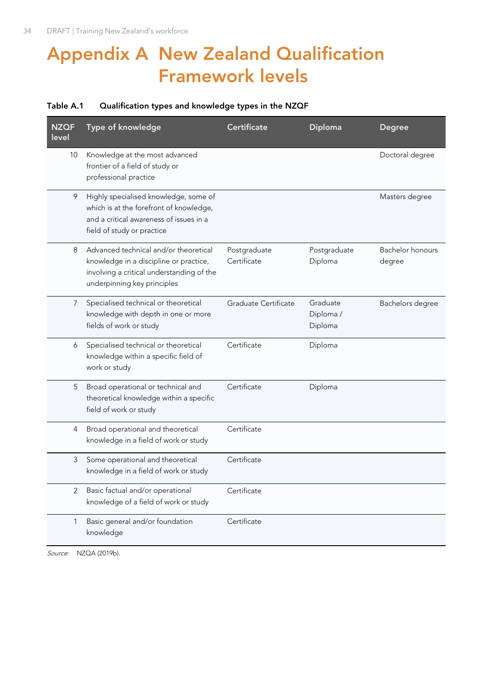## <span id="page-45-0"></span>**Appendix A New Zealand Qualification Framework levels**

#### <span id="page-45-1"></span>**Table A.1 Qualification types and knowledge types in the NZQF**

| <b>NZQF</b><br>level | Type of knowledge                                                                                                                                           | <b>Certificate</b>          | <b>Diploma</b>                  | <b>Degree</b>              |
|----------------------|-------------------------------------------------------------------------------------------------------------------------------------------------------------|-----------------------------|---------------------------------|----------------------------|
| 10                   | Knowledge at the most advanced<br>frontier of a field of study or<br>professional practice                                                                  |                             |                                 | Doctoral degree            |
| 9                    | Highly specialised knowledge, some of<br>which is at the forefront of knowledge,<br>and a critical awareness of issues in a<br>field of study or practice   |                             |                                 | Masters degree             |
| 8                    | Advanced technical and/or theoretical<br>knowledge in a discipline or practice,<br>involving a critical understanding of the<br>underpinning key principles | Postgraduate<br>Certificate | Postgraduate<br>Diploma         | Bachelor honours<br>degree |
| $\overline{7}$       | Specialised technical or theoretical<br>knowledge with depth in one or more<br>fields of work or study                                                      | Graduate Certificate        | Graduate<br>Diploma/<br>Diploma | Bachelors degree           |
| 6                    | Specialised technical or theoretical<br>knowledge within a specific field of<br>work or study                                                               | Certificate                 | Diploma                         |                            |
| 5                    | Broad operational or technical and<br>theoretical knowledge within a specific<br>field of work or study                                                     | Certificate                 | Diploma                         |                            |
| 4                    | Broad operational and theoretical<br>knowledge in a field of work or study                                                                                  | Certificate                 |                                 |                            |
| 3                    | Some operational and theoretical<br>knowledge in a field of work or study                                                                                   | Certificate                 |                                 |                            |
| 2                    | Basic factual and/or operational<br>knowledge of a field of work or study                                                                                   | Certificate                 |                                 |                            |
| 1                    | Basic general and/or foundation<br>knowledge                                                                                                                | Certificate                 |                                 |                            |

Source: NZQA (2019b).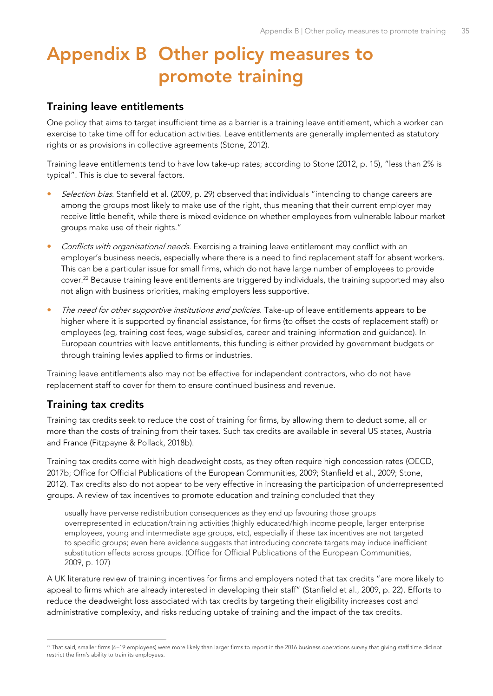## <span id="page-46-0"></span>**Appendix B Other policy measures to promote training**

#### **Training leave entitlements**

One policy that aims to target insufficient time as a barrier is a training leave entitlement, which a worker can exercise to take time off for education activities. Leave entitlements are generally implemented as statutory rights or as provisions in collective agreements (Stone, 2012).

Training leave entitlements tend to have low take-up rates; according to Stone (2012, p. 15), "less than 2% is typical". This is due to several factors.

- Selection bias. Stanfield et al. (2009, p. 29) observed that individuals "intending to change careers are among the groups most likely to make use of the right, thus meaning that their current employer may receive little benefit, while there is mixed evidence on whether employees from vulnerable labour market groups make use of their rights."
- Conflicts with organisational needs. Exercising a training leave entitlement may conflict with an employer's business needs, especially where there is a need to find replacement staff for absent workers. This can be a particular issue for small firms, which do not have large number of employees to provide cover.<sup>22</sup> Because training leave entitlements are triggered by individuals, the training supported may also not align with business priorities, making employers less supportive.
- The need for other supportive institutions and policies. Take-up of leave entitlements appears to be higher where it is supported by financial assistance, for firms (to offset the costs of replacement staff) or employees (eg, training cost fees, wage subsidies, career and training information and guidance). In European countries with leave entitlements, this funding is either provided by government budgets or through training levies applied to firms or industries.

Training leave entitlements also may not be effective for independent contractors, who do not have replacement staff to cover for them to ensure continued business and revenue.

#### **Training tax credits**

Training tax credits seek to reduce the cost of training for firms, by allowing them to deduct some, all or more than the costs of training from their taxes. Such tax credits are available in several US states, Austria and France (Fitzpayne & Pollack, 2018b).

Training tax credits come with high deadweight costs, as they often require high concession rates (OECD, 2017b; Office for Official Publications of the European Communities, 2009; Stanfield et al., 2009; Stone, 2012). Tax credits also do not appear to be very effective in increasing the participation of underrepresented groups. A review of tax incentives to promote education and training concluded that they

usually have perverse redistribution consequences as they end up favouring those groups overrepresented in education/training activities (highly educated/high income people, larger enterprise employees, young and intermediate age groups, etc), especially if these tax incentives are not targeted to specific groups; even here evidence suggests that introducing concrete targets may induce inefficient substitution effects across groups. (Office for Official Publications of the European Communities, 2009, p. 107)

A UK literature review of training incentives for firms and employers noted that tax credits "are more likely to appeal to firms which are already interested in developing their staff" (Stanfield et al., 2009, p. 22). Efforts to reduce the deadweight loss associated with tax credits by targeting their eligibility increases cost and administrative complexity, and risks reducing uptake of training and the impact of the tax credits.

<sup>&</sup>lt;sup>22</sup> That said, smaller firms (6–19 employees) were more likely than larger firms to report in the 2016 business operations survey that giving staff time did not restrict the firm's ability to train its employees.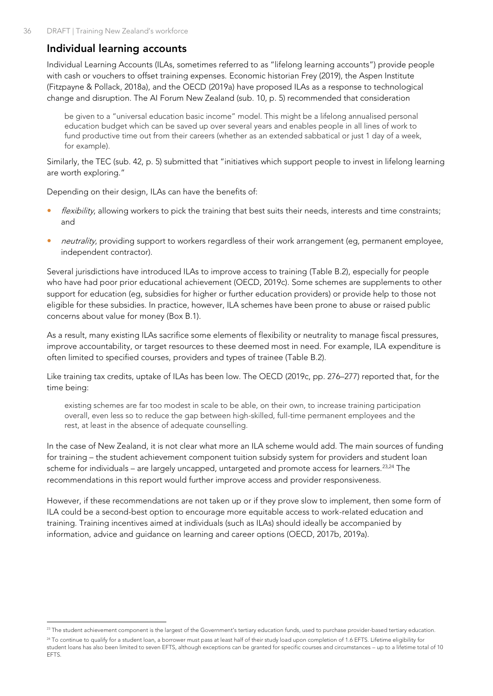## **Individual learning accounts**

Individual Learning Accounts (ILAs, sometimes referred to as "lifelong learning accounts") provide people with cash or vouchers to offset training expenses. Economic historian Frey (2019), the Aspen Institute (Fitzpayne & Pollack, 2018a), and the OECD (2019a) have proposed ILAs as a response to technological change and disruption. The AI Forum New Zealand (sub. 10, p. 5) recommended that consideration

be given to a "universal education basic income" model. This might be a lifelong annualised personal education budget which can be saved up over several years and enables people in all lines of work to fund productive time out from their careers (whether as an extended sabbatical or just 1 day of a week, for example).

Similarly, the TEC (sub. 42, p. 5) submitted that "initiatives which support people to invest in lifelong learning are worth exploring."

Depending on their design, ILAs can have the benefits of:

- flexibility, allowing workers to pick the training that best suits their needs, interests and time constraints; and
- neutrality, providing support to workers regardless of their work arrangement (eg, permanent employee, independent contractor).

Several jurisdictions have introduced ILAs to improve access to training (Table B.2), especially for people who have had poor prior educational achievement (OECD, 2019c). Some schemes are supplements to other support for education (eg, subsidies for higher or further education providers) or provide help to those not eligible for these subsidies. In practice, however, ILA schemes have been prone to abuse or raised public concerns about value for money [\(Box B.1\)](#page-48-1).

As a result, many existing ILAs sacrifice some elements of flexibility or neutrality to manage fiscal pressures, improve accountability, or target resources to these deemed most in need. For example, ILA expenditure is often limited to specified courses, providers and types of trainee [\(Table B.2\)](#page-48-0).

Like training tax credits, uptake of ILAs has been low. The OECD (2019c, pp. 276–277) reported that, for the time being:

existing schemes are far too modest in scale to be able, on their own, to increase training participation overall, even less so to reduce the gap between high-skilled, full-time permanent employees and the rest, at least in the absence of adequate counselling.

In the case of New Zealand, it is not clear what more an ILA scheme would add. The main sources of funding for training – the student achievement component tuition subsidy system for providers and student loan scheme for individuals – are largely uncapped, untargeted and promote access for learners.<sup>23,24</sup> The recommendations in this report would further improve access and provider responsiveness.

However, if these recommendations are not taken up or if they prove slow to implement, then some form of ILA could be a second-best option to encourage more equitable access to work-related education and training. Training incentives aimed at individuals (such as ILAs) should ideally be accompanied by information, advice and guidance on learning and career options (OECD, 2017b, 2019a).

<sup>&</sup>lt;sup>23</sup> The student achievement component is the largest of the Government's tertiary education funds, used to purchase provider-based tertiary education.

<sup>&</sup>lt;sup>24</sup> To continue to qualify for a student loan, a borrower must pass at least half of their study load upon completion of 1.6 EFTS. Lifetime eligibility for student loans has also been limited to seven EFTS, although exceptions can be granted for specific courses and circumstances – up to a lifetime total of 10 EFTS.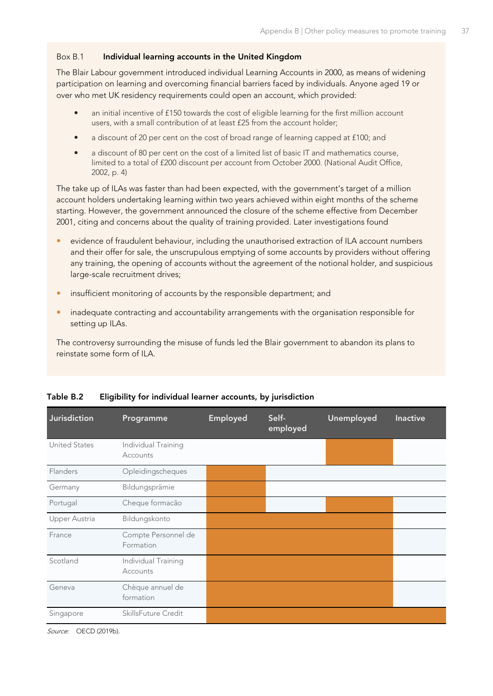#### <span id="page-48-1"></span>Box B.1 **Individual learning accounts in the United Kingdom**

The Blair Labour government introduced individual Learning Accounts in 2000, as means of widening participation on learning and overcoming financial barriers faced by individuals. Anyone aged 19 or over who met UK residency requirements could open an account, which provided:

- an initial incentive of £150 towards the cost of eligible learning for the first million account users, with a small contribution of at least £25 from the account holder;
- a discount of 20 per cent on the cost of broad range of learning capped at £100; and
- a discount of 80 per cent on the cost of a limited list of basic IT and mathematics course, limited to a total of £200 discount per account from October 2000. (National Audit Office, 2002, p. 4)

The take up of ILAs was faster than had been expected, with the government's target of a million account holders undertaking learning within two years achieved within eight months of the scheme starting. However, the government announced the closure of the scheme effective from December 2001, citing and concerns about the quality of training provided. Later investigations found

- evidence of fraudulent behaviour, including the unauthorised extraction of ILA account numbers and their offer for sale, the unscrupulous emptying of some accounts by providers without offering any training, the opening of accounts without the agreement of the notional holder, and suspicious large-scale recruitment drives;
- insufficient monitoring of accounts by the responsible department; and
- inadequate contracting and accountability arrangements with the organisation responsible for setting up ILAs.

The controversy surrounding the misuse of funds led the Blair government to abandon its plans to reinstate some form of ILA.

| Jurisdiction         | Programme                        | Employed | Self-<br>employed | Unemployed | <b>Inactive</b> |
|----------------------|----------------------------------|----------|-------------------|------------|-----------------|
| <b>United States</b> | Individual Training<br>Accounts  |          |                   |            |                 |
| Flanders             | Opleidingscheques                |          |                   |            |                 |
| Germany              | Bildungsprämie                   |          |                   |            |                 |
| Portugal             | Cheque formacão                  |          |                   |            |                 |
| Upper Austria        | Bildungskonto                    |          |                   |            |                 |
| France               | Compte Personnel de<br>Formation |          |                   |            |                 |
| Scotland             | Individual Training<br>Accounts  |          |                   |            |                 |
| Geneva               | Chèque annuel de<br>formation    |          |                   |            |                 |
| Singapore            | SkillsFuture Credit              |          |                   |            |                 |

#### <span id="page-48-0"></span>**Table B.2 Eligibility for individual learner accounts, by jurisdiction**

Source: OECD (2019b).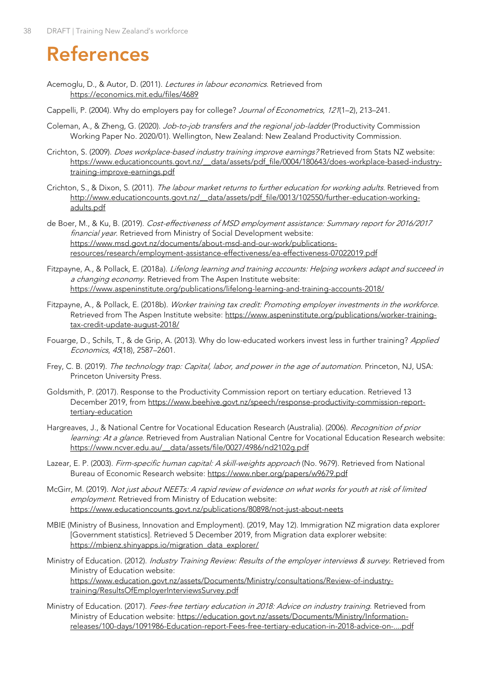## <span id="page-49-0"></span>**References**

- Acemoglu, D., & Autor, D. (2011). Lectures in labour economics. Retrieved from <https://economics.mit.edu/files/4689>
- Cappelli, P. (2004). Why do employers pay for college? Journal of Econometrics, 121(1–2), 213–241.
- Coleman, A., & Zheng, G. (2020). Job-to-job transfers and the regional job-ladder (Productivity Commission Working Paper No. 2020/01). Wellington, New Zealand: New Zealand Productivity Commission.
- Crichton, S. (2009). *Does workplace-based industry training improve earnings?* Retrieved from Stats NZ website: [https://www.educationcounts.govt.nz/\\_\\_data/assets/pdf\\_file/0004/180643/does-workplace-based-industry](https://www.educationcounts.govt.nz/__data/assets/pdf_file/0004/180643/does-workplace-based-industry-training-improve-earnings.pdf)[training-improve-earnings.pdf](https://www.educationcounts.govt.nz/__data/assets/pdf_file/0004/180643/does-workplace-based-industry-training-improve-earnings.pdf)
- Crichton, S., & Dixon, S. (2011). The labour market returns to further education for working adults. Retrieved from http://www.educationcounts.govt.nz/ data/assets/pdf file/0013/102550/further-education-working[adults.pdf](http://www.educationcounts.govt.nz/__data/assets/pdf_file/0013/102550/further-education-working-adults.pdf)
- de Boer, M., & Ku, B. (2019). Cost-effectiveness of MSD employment assistance: Summary report for 2016/2017 financial year. Retrieved from Ministry of Social Development website: [https://www.msd.govt.nz/documents/about-msd-and-our-work/publications](https://www.msd.govt.nz/documents/about-msd-and-our-work/publications-resources/research/employment-assistance-effectiveness/ea-effectiveness-07022019.pdf)[resources/research/employment-assistance-effectiveness/ea-effectiveness-07022019.pdf](https://www.msd.govt.nz/documents/about-msd-and-our-work/publications-resources/research/employment-assistance-effectiveness/ea-effectiveness-07022019.pdf)
- Fitzpayne, A., & Pollack, E. (2018a). Lifelong learning and training accounts: Helping workers adapt and succeed in a changing economy. Retrieved from The Aspen Institute website: <https://www.aspeninstitute.org/publications/lifelong-learning-and-training-accounts-2018/>
- Fitzpayne, A., & Pollack, E. (2018b). Worker training tax credit: Promoting employer investments in the workforce. Retrieved from The Aspen Institute website: [https://www.aspeninstitute.org/publications/worker-training](https://www.aspeninstitute.org/publications/worker-training-tax-credit-update-august-2018/)[tax-credit-update-august-2018/](https://www.aspeninstitute.org/publications/worker-training-tax-credit-update-august-2018/)
- Fouarge, D., Schils, T., & de Grip, A. (2013). Why do low-educated workers invest less in further training? Applied Economics, 45(18), 2587–2601.
- Frey, C. B. (2019). The technology trap: Capital, labor, and power in the age of automation. Princeton, NJ, USA: Princeton University Press.
- Goldsmith, P. (2017). Response to the Productivity Commission report on tertiary education. Retrieved 13 December 2019, from [https://www.beehive.govt.nz/speech/response-productivity-commission-report](https://www.beehive.govt.nz/speech/response-productivity-commission-report-tertiary-education)[tertiary-education](https://www.beehive.govt.nz/speech/response-productivity-commission-report-tertiary-education)
- Hargreaves, J., & National Centre for Vocational Education Research (Australia). (2006). Recognition of prior learning: At a glance. Retrieved from Australian National Centre for Vocational Education Research website: [https://www.ncver.edu.au/\\_\\_data/assets/file/0027/4986/nd2102g.pdf](https://www.ncver.edu.au/__data/assets/file/0027/4986/nd2102g.pdf)
- Lazear, E. P. (2003). Firm-specific human capital: A skill-weights approach (No. 9679). Retrieved from National Bureau of Economic Research website[: https://www.nber.org/papers/w9679.pdf](https://www.nber.org/papers/w9679.pdf)
- McGirr, M. (2019). Not just about NEETs: A rapid review of evidence on what works for youth at risk of limited employment. Retrieved from Ministry of Education website: <https://www.educationcounts.govt.nz/publications/80898/not-just-about-neets>
- MBIE (Ministry of Business, Innovation and Employment). (2019, May 12). Immigration NZ migration data explorer [Government statistics]. Retrieved 5 December 2019, from Migration data explorer website: [https://mbienz.shinyapps.io/migration\\_data\\_explorer/](https://mbienz.shinyapps.io/migration_data_explorer/)
- Ministry of Education. (2012). Industry Training Review: Results of the employer interviews & survey. Retrieved from Ministry of Education website: [https://www.education.govt.nz/assets/Documents/Ministry/consultations/Review-of-industry](https://www.education.govt.nz/assets/Documents/Ministry/consultations/Review-of-industry-training/ResultsOfEmployerInterviewsSurvey.pdf)[training/ResultsOfEmployerInterviewsSurvey.pdf](https://www.education.govt.nz/assets/Documents/Ministry/consultations/Review-of-industry-training/ResultsOfEmployerInterviewsSurvey.pdf)
- Ministry of Education. (2017). Fees-free tertiary education in 2018: Advice on industry training. Retrieved from Ministry of Education website: [https://education.govt.nz/assets/Documents/Ministry/Information](https://education.govt.nz/assets/Documents/Ministry/Information-releases/100-days/1091986-Education-report-Fees-free-tertiary-education-in-2018-advice-on-....pdf)[releases/100-days/1091986-Education-report-Fees-free-tertiary-education-in-2018-advice-on-....pdf](https://education.govt.nz/assets/Documents/Ministry/Information-releases/100-days/1091986-Education-report-Fees-free-tertiary-education-in-2018-advice-on-....pdf)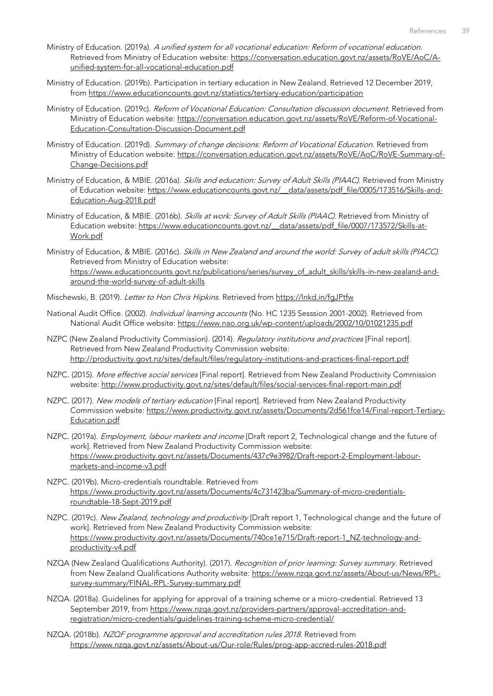- Ministry of Education. (2019a). A unified system for all vocational education: Reform of vocational education. Retrieved from Ministry of Education website: [https://conversation.education.govt.nz/assets/RoVE/AoC/A](https://conversation.education.govt.nz/assets/RoVE/AoC/A-unified-system-for-all-vocational-education.pdf)[unified-system-for-all-vocational-education.pdf](https://conversation.education.govt.nz/assets/RoVE/AoC/A-unified-system-for-all-vocational-education.pdf)
- Ministry of Education. (2019b). Participation in tertiary education in New Zealand. Retrieved 12 December 2019, from<https://www.educationcounts.govt.nz/statistics/tertiary-education/participation>
- Ministry of Education. (2019c). Reform of Vocational Education: Consultation discussion document. Retrieved from Ministry of Education website: [https://conversation.education.govt.nz/assets/RoVE/Reform-of-Vocational-](https://conversation.education.govt.nz/assets/RoVE/Reform-of-Vocational-Education-Consultation-Discussion-Document.pdf)[Education-Consultation-Discussion-Document.pdf](https://conversation.education.govt.nz/assets/RoVE/Reform-of-Vocational-Education-Consultation-Discussion-Document.pdf)
- Ministry of Education. (2019d). Summary of change decisions: Reform of Vocational Education. Retrieved from Ministry of Education website: [https://conversation.education.govt.nz/assets/RoVE/AoC/RoVE-Summary-of-](https://conversation.education.govt.nz/assets/RoVE/AoC/RoVE-Summary-of-Change-Decisions.pdf)[Change-Decisions.pdf](https://conversation.education.govt.nz/assets/RoVE/AoC/RoVE-Summary-of-Change-Decisions.pdf)
- Ministry of Education, & MBIE. (2016a). Skills and education: Survey of Adult Skills (PIAAC). Retrieved from Ministry of Education website: [https://www.educationcounts.govt.nz/\\_\\_data/assets/pdf\\_file/0005/173516/Skills-and-](https://www.educationcounts.govt.nz/__data/assets/pdf_file/0005/173516/Skills-and-Education-Aug-2018.pdf)[Education-Aug-2018.pdf](https://www.educationcounts.govt.nz/__data/assets/pdf_file/0005/173516/Skills-and-Education-Aug-2018.pdf)
- Ministry of Education, & MBIE. (2016b). Skills at work: Survey of Adult Skills (PIAAC). Retrieved from Ministry of Education website: https://www.educationcounts.govt.nz/ data/assets/pdf file/0007/173572/Skills-at-[Work.pdf](https://www.educationcounts.govt.nz/__data/assets/pdf_file/0007/173572/Skills-at-Work.pdf)
- Ministry of Education, & MBIE. (2016c). Skills in New Zealand and around the world: Survey of adult skills (PIACC). Retrieved from Ministry of Education website:

[https://www.educationcounts.govt.nz/publications/series/survey\\_of\\_adult\\_skills/skills-in-new-zealand-and](https://www.educationcounts.govt.nz/publications/series/survey_of_adult_skills/skills-in-new-zealand-and-around-the-world-survey-of-adult-skills)[around-the-world-survey-of-adult-skills](https://www.educationcounts.govt.nz/publications/series/survey_of_adult_skills/skills-in-new-zealand-and-around-the-world-survey-of-adult-skills)

- Mischewski, B. (2019). Letter to Hon Chris Hipkins. Retrieved from https://lnkd.in/faJPtfw
- National Audit Office. (2002). Individual learning accounts (No. HC 1235 Sesssion 2001-2002). Retrieved from National Audit Office website:<https://www.nao.org.uk/wp-content/uploads/2002/10/01021235.pdf>
- NZPC (New Zealand Productivity Commission). (2014). Regulatory institutions and practices [Final report]. Retrieved from New Zealand Productivity Commission website: <http://productivity.govt.nz/sites/default/files/regulatory-institutions-and-practices-final-report.pdf>
- NZPC. (2015). More effective social services [Final report]. Retrieved from New Zealand Productivity Commission website:<http://www.productivity.govt.nz/sites/default/files/social-services-final-report-main.pdf>
- NZPC. (2017). New models of tertiary education [Final report]. Retrieved from New Zealand Productivity Commission website: [https://www.productivity.govt.nz/assets/Documents/2d561fce14/Final-report-Tertiary-](https://www.productivity.govt.nz/assets/Documents/2d561fce14/Final-report-Tertiary-Education.pdf)[Education.pdf](https://www.productivity.govt.nz/assets/Documents/2d561fce14/Final-report-Tertiary-Education.pdf)
- NZPC. (2019a). *Employment, labour markets and income* [Draft report 2, Technological change and the future of work]. Retrieved from New Zealand Productivity Commission website: [https://www.productivity.govt.nz/assets/Documents/437c9e3982/Draft-report-2-Employment-labour](https://www.productivity.govt.nz/assets/Documents/437c9e3982/Draft-report-2-Employment-labour-markets-and-income-v3.pdf)[markets-and-income-v3.pdf](https://www.productivity.govt.nz/assets/Documents/437c9e3982/Draft-report-2-Employment-labour-markets-and-income-v3.pdf)
- NZPC. (2019b). Micro-credentials roundtable. Retrieved from [https://www.productivity.govt.nz/assets/Documents/4c731423ba/Summary-of-micro-credentials](https://www.productivity.govt.nz/assets/Documents/4c731423ba/Summary-of-micro-credentials-roundtable-18-Sept-2019.pdf)[roundtable-18-Sept-2019.pdf](https://www.productivity.govt.nz/assets/Documents/4c731423ba/Summary-of-micro-credentials-roundtable-18-Sept-2019.pdf)
- NZPC. (2019c). New Zealand, technology and productivity [Draft report 1, Technological change and the future of work]. Retrieved from New Zealand Productivity Commission website: [https://www.productivity.govt.nz/assets/Documents/740ce1e715/Draft-report-1\\_NZ-technology-and](https://www.productivity.govt.nz/assets/Documents/740ce1e715/Draft-report-1_NZ-technology-and-productivity-v4.pdf)[productivity-v4.pdf](https://www.productivity.govt.nz/assets/Documents/740ce1e715/Draft-report-1_NZ-technology-and-productivity-v4.pdf)
- NZQA (New Zealand Qualifications Authority). (2017). Recognition of prior learning: Survey summary. Retrieved from New Zealand Qualifications Authority website: [https://www.nzqa.govt.nz/assets/About-us/News/RPL](https://www.nzqa.govt.nz/assets/About-us/News/RPL-survey-summary/FINAL-RPL-Survey-summary.pdf)[survey-summary/FINAL-RPL-Survey-summary.pdf](https://www.nzqa.govt.nz/assets/About-us/News/RPL-survey-summary/FINAL-RPL-Survey-summary.pdf)
- NZQA. (2018a). Guidelines for applying for approval of a training scheme or a micro-credential. Retrieved 13 September 2019, from [https://www.nzqa.govt.nz/providers-partners/approval-accreditation-and](https://www.nzqa.govt.nz/providers-partners/approval-accreditation-and-registration/micro-credentials/guidelines-training-scheme-micro-credential/)[registration/micro-credentials/guidelines-training-scheme-micro-credential/](https://www.nzqa.govt.nz/providers-partners/approval-accreditation-and-registration/micro-credentials/guidelines-training-scheme-micro-credential/)
- NZQA. (2018b). NZQF programme approval and accreditation rules 2018. Retrieved from <https://www.nzqa.govt.nz/assets/About-us/Our-role/Rules/prog-app-accred-rules-2018.pdf>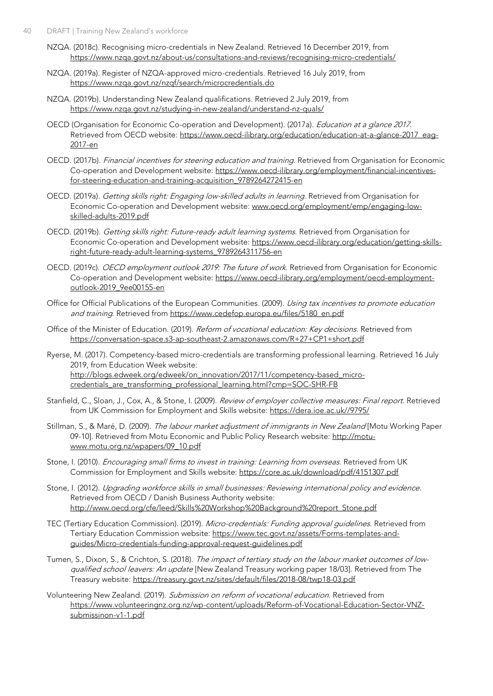- NZQA. (2018c). Recognising micro-credentials in New Zealand. Retrieved 16 December 2019, from <https://www.nzqa.govt.nz/about-us/consultations-and-reviews/recognising-micro-credentials/>
- NZQA. (2019a). Register of NZQA-approved micro-credentials. Retrieved 16 July 2019, from <https://www.nzqa.govt.nz/nzqf/search/microcredentials.do>
- NZQA. (2019b). Understanding New Zealand qualifications. Retrieved 2 July 2019, from <https://www.nzqa.govt.nz/studying-in-new-zealand/understand-nz-quals/>
- OECD (Organisation for Economic Co-operation and Development). (2017a). *Education at a glance 2017*. Retrieved from OECD website: [https://www.oecd-ilibrary.org/education/education-at-a-glance-2017\\_eag-](https://www.oecd-ilibrary.org/education/education-at-a-glance-2017_eag-2017-en)[2017-en](https://www.oecd-ilibrary.org/education/education-at-a-glance-2017_eag-2017-en)
- OECD. (2017b). Financial incentives for steering education and training. Retrieved from Organisation for Economic Co-operation and Development website: [https://www.oecd-ilibrary.org/employment/financial-incentives](https://www.oecd-ilibrary.org/employment/financial-incentives-for-steering-education-and-training-acquisition_9789264272415-en)[for-steering-education-and-training-acquisition\\_9789264272415-en](https://www.oecd-ilibrary.org/employment/financial-incentives-for-steering-education-and-training-acquisition_9789264272415-en)
- OECD. (2019a). Getting skills right: Engaging low-skilled adults in learning. Retrieved from Organisation for Economic Co-operation and Development website: [www.oecd.org/employment/emp/engaging-low](http://www.oecd.org/employment/emp/engaging-low-skilled-adults-2019.pdf)[skilled-adults-2019.pdf](http://www.oecd.org/employment/emp/engaging-low-skilled-adults-2019.pdf)
- OECD. (2019b). Getting skills right: Future-ready adult learning systems. Retrieved from Organisation for Economic Co-operation and Development website: [https://www.oecd-ilibrary.org/education/getting-skills](https://www.oecd-ilibrary.org/education/getting-skills-right-future-ready-adult-learning-systems_9789264311756-en)[right-future-ready-adult-learning-systems\\_9789264311756-en](https://www.oecd-ilibrary.org/education/getting-skills-right-future-ready-adult-learning-systems_9789264311756-en)
- OECD. (2019c). OECD employment outlook 2019: The future of work. Retrieved from Organisation for Economic Co-operation and Development website: [https://www.oecd-ilibrary.org/employment/oecd-employment](https://www.oecd-ilibrary.org/employment/oecd-employment-outlook-2019_9ee00155-en)[outlook-2019\\_9ee00155-en](https://www.oecd-ilibrary.org/employment/oecd-employment-outlook-2019_9ee00155-en)
- Office for Official Publications of the European Communities. (2009). Using tax incentives to promote education and training. Retrieved from [https://www.cedefop.europa.eu/files/5180\\_en.pdf](https://www.cedefop.europa.eu/files/5180_en.pdf)
- Office of the Minister of Education. (2019). Reform of vocational education: Key decisions. Retrieved from <https://conversation-space.s3-ap-southeast-2.amazonaws.com/R+27+CP1+short.pdf>
- Ryerse, M. (2017). Competency-based micro-credentials are transforming professional learning. Retrieved 16 July 2019, from Education Week website: [http://blogs.edweek.org/edweek/on\\_innovation/2017/11/competency-based\\_micro](http://blogs.edweek.org/edweek/on_innovation/2017/11/competency-based_micro-credentials_are_transforming_professional_learning.html?cmp=SOC-SHR-FB)[credentials\\_are\\_transforming\\_professional\\_learning.html?cmp=SOC-SHR-FB](http://blogs.edweek.org/edweek/on_innovation/2017/11/competency-based_micro-credentials_are_transforming_professional_learning.html?cmp=SOC-SHR-FB)
- Stanfield, C., Sloan, J., Cox, A., & Stone, I. (2009). Review of employer collective measures: Final report. Retrieved from UK Commission for Employment and Skills website: [https://dera.ioe.ac.uk//9795/](https://dera.ioe.ac.uk/9795/)
- Stillman, S., & Maré, D. (2009). The labour market adjustment of immigrants in New Zealand [Motu Working Paper 09-10]. Retrieved from Motu Economic and Public Policy Research website: [http://motu](http://motu-www.motu.org.nz/wpapers/09_10.pdf)[www.motu.org.nz/wpapers/09\\_10.pdf](http://motu-www.motu.org.nz/wpapers/09_10.pdf)
- Stone, I. (2010). *Encouraging small firms to invest in training: Learning from overseas.* Retrieved from UK Commission for Employment and Skills website:<https://core.ac.uk/download/pdf/4151307.pdf>
- Stone, I. (2012). Upgrading workforce skills in small businesses: Reviewing international policy and evidence. Retrieved from OECD / Danish Business Authority website: [http://www.oecd.org/cfe/leed/Skills%20Workshop%20Background%20report\\_Stone.pdf](http://www.oecd.org/cfe/leed/Skills%20Workshop%20Background%20report_Stone.pdf)
- TEC (Tertiary Education Commission). (2019). Micro-credentials: Funding approval guidelines. Retrieved from Tertiary Education Commission website[: https://www.tec.govt.nz/assets/Forms-templates-and](https://www.tec.govt.nz/assets/Forms-templates-and-guides/Micro-credentials-funding-approval-request-guidelines.pdf)[guides/Micro-credentials-funding-approval-request-guidelines.pdf](https://www.tec.govt.nz/assets/Forms-templates-and-guides/Micro-credentials-funding-approval-request-guidelines.pdf)
- Tumen, S., Dixon, S., & Crichton, S. (2018). The impact of tertiary study on the labour market outcomes of lowqualified school leavers: An update [New Zealand Treasury working paper 18/03]. Retrieved from The Treasury website[: https://treasury.govt.nz/sites/default/files/2018-08/twp18-03.pdf](https://treasury.govt.nz/sites/default/files/2018-08/twp18-03.pdf)
- Volunteering New Zealand. (2019). Submission on reform of vocational education. Retrieved from [https://www.volunteeringnz.org.nz/wp-content/uploads/Reform-of-Vocational-Education-Sector-VNZ](https://www.volunteeringnz.org.nz/wp-content/uploads/Reform-of-Vocational-Education-Sector-VNZ-submissinon-v1-1.pdf)[submissinon-v1-1.pdf](https://www.volunteeringnz.org.nz/wp-content/uploads/Reform-of-Vocational-Education-Sector-VNZ-submissinon-v1-1.pdf)